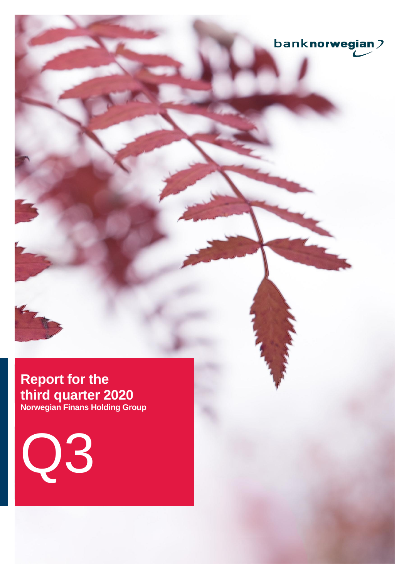

# **Report for the third quarter 2020**

**Norwegian Finans Holding Group**

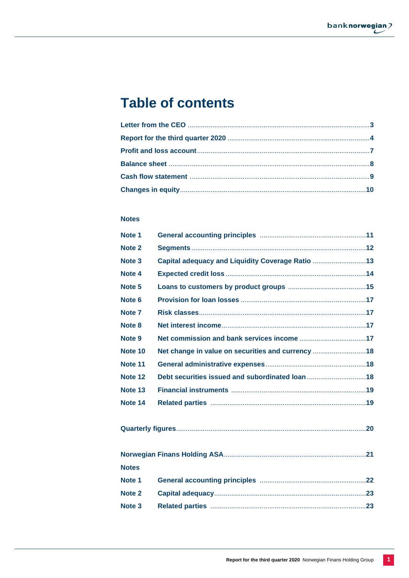# **Table of contents**

# **Notes**

| Note 1            |                                                   |  |
|-------------------|---------------------------------------------------|--|
| Note <sub>2</sub> |                                                   |  |
| Note <sub>3</sub> | Capital adequacy and Liquidity Coverage Ratio 13  |  |
| Note 4            |                                                   |  |
| Note <sub>5</sub> |                                                   |  |
| Note <sub>6</sub> |                                                   |  |
| Note 7            |                                                   |  |
| Note 8            |                                                   |  |
| Note 9            |                                                   |  |
| Note 10           | Net change in value on securities and currency 18 |  |
| Note 11           |                                                   |  |
| Note 12           | Debt securities issued and subordinated loan 18   |  |
| Note 13           |                                                   |  |
| Note 14           |                                                   |  |
|                   |                                                   |  |
|                   |                                                   |  |
|                   |                                                   |  |
|                   |                                                   |  |
| <b>Notes</b>      |                                                   |  |
| Note 1            |                                                   |  |
| Note 2            |                                                   |  |
| Note <sub>3</sub> |                                                   |  |
|                   |                                                   |  |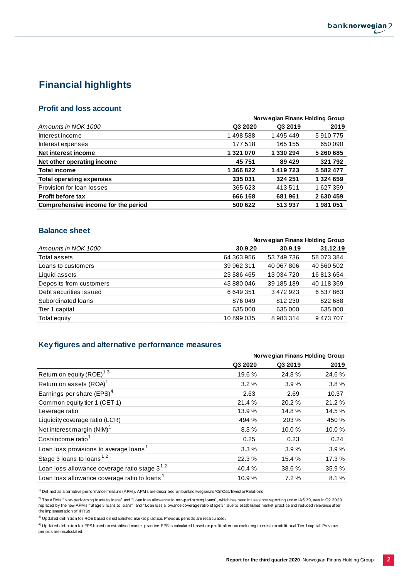# **Financial highlights**

# **Profit and loss account**

|                                     | Norwegian Finans Holding Group |           |               |  |  |  |
|-------------------------------------|--------------------------------|-----------|---------------|--|--|--|
| Amounts in NOK 1000                 | Q3 2020                        | Q3 2019   | 2019          |  |  |  |
| Interest income                     | 1498588                        | 1495449   | 5910775       |  |  |  |
| Interest expenses                   | 177518                         | 165 155   | 650 090       |  |  |  |
| Net interest income                 | 1 321 070                      | 1 330 294 | 5 260 685     |  |  |  |
| Net other operating income          | 45 751                         | 89 4 29   | 321 792       |  |  |  |
| <b>Total income</b>                 | 1 366 822                      | 1419723   | 5 5 8 2 4 7 7 |  |  |  |
| <b>Total operating expenses</b>     | 335031                         | 324 251   | 1 324 659     |  |  |  |
| Provision for loan losses           | 365 623                        | 413511    | 1627359       |  |  |  |
| <b>Profit before tax</b>            | 666 168                        | 681961    | 2630459       |  |  |  |
| Comprehensive income for the period | 500 622                        | 513937    | 1981051       |  |  |  |

# **Balance sheet**

| 31.12.19<br>30.9.19      |
|--------------------------|
|                          |
| 58 073 384<br>53 749 736 |
| 40 560 502<br>40 067 806 |
| 16813654<br>13 034 720   |
| 40 118 369<br>39 185 189 |
| 3472923<br>6537863       |
| 822 688<br>812 230       |
| 635 000<br>635 000       |
| 9473707<br>8983314       |
|                          |

# **Key figures and alternative performance measures**

|                                                          | Norwegian Finans Holding Group |         |        |  |
|----------------------------------------------------------|--------------------------------|---------|--------|--|
|                                                          | Q3 2020                        | Q3 2019 | 2019   |  |
| Return on equity (ROE) <sup>13</sup>                     | 19.6 %                         | 24.8%   | 24.6%  |  |
| Return on assets (ROA) <sup>1</sup>                      | 3.2%                           | 3.9%    | 3.8%   |  |
| Earnings per share (EPS) <sup>4</sup>                    | 2.63                           | 2.69    | 10.37  |  |
| Common equity tier 1 (CET 1)                             | 21.4%                          | 20.2%   | 21.2%  |  |
| Leverage ratio                                           | 13.9%                          | 14.8%   | 14.5 % |  |
| Liquidity coverage ratio (LCR)                           | 494 %                          | 203 %   | 450 %  |  |
| Net interest margin (NIM) <sup>1</sup>                   | 8.3%                           | 10.0%   | 10.0%  |  |
| Cost/income ratio <sup>1</sup>                           | 0.25                           | 0.23    | 0.24   |  |
| Loan loss provisions to average loans <sup>1</sup>       | 3.3%                           | 3.9%    | 3.9%   |  |
| Stage 3 loans to loans <sup>12</sup>                     | 22.3%                          | 15.4 %  | 17.3 % |  |
| Loan loss allowance coverage ratio stage 3 <sup>12</sup> | 40.4%                          | 38.6%   | 35.9%  |  |
| Loan loss allowance coverage ratio to loans <sup>1</sup> | 10.9%                          | 7.2%    | 8.1%   |  |

<sup>1)</sup> Defined as alternative performance measure (APM). APM s are described on banknorwegian.no/OmOss/InvestorRelations

<sup>2)</sup> The APM s "Non-performing loans to loans" and "Loan loss allowance to non-performing loans", which has been in use since reporting under IAS 39, was in Q2 2020 replaced by the new APM s " Stage 3 loans to loans" and " Loan loss allowance coverage ratio stage 3" due to established market practice and reduced relevance after the implementation of IFRS9

<sup>3)</sup> Updated definition for ROE based on established market practice. Previous periods are recalculated.

<sup>4)</sup> Updated definition for EPS based on establised market practice. EPS is calculated based on profit after tax excluding interest on additional Tier 1 capital. Previous periods are recalculated.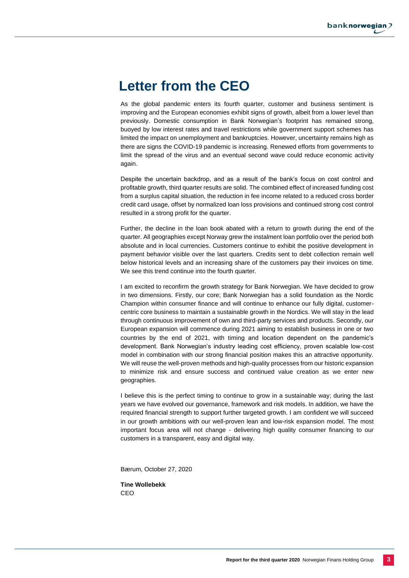# **Letter from the CEO**

As the global pandemic enters its fourth quarter, customer and business sentiment is improving and the European economies exhibit signs of growth, albeit from a lower level than previously. Domestic consumption in Bank Norwegian's footprint has remained strong, buoyed by low interest rates and travel restrictions while government support schemes has limited the impact on unemployment and bankruptcies. However, uncertainty remains high as there are signs the COVID-19 pandemic is increasing. Renewed efforts from governments to limit the spread of the virus and an eventual second wave could reduce economic activity again.

Despite the uncertain backdrop, and as a result of the bank's focus on cost control and profitable growth, third quarter results are solid. The combined effect of increased funding cost from a surplus capital situation, the reduction in fee income related to a reduced cross border credit card usage, offset by normalized loan loss provisions and continued strong cost control resulted in a strong profit for the quarter.

Further, the decline in the loan book abated with a return to growth during the end of the quarter. All geographies except Norway grew the instalment loan portfolio over the period both absolute and in local currencies. Customers continue to exhibit the positive development in payment behavior visible over the last quarters. Credits sent to debt collection remain well below historical levels and an increasing share of the customers pay their invoices on time. We see this trend continue into the fourth quarter.

I am excited to reconfirm the growth strategy for Bank Norwegian. We have decided to grow in two dimensions. Firstly, our core; Bank Norwegian has a solid foundation as the Nordic Champion within consumer finance and will continue to enhance our fully digital, customercentric core business to maintain a sustainable growth in the Nordics. We will stay in the lead through continuous improvement of own and third-party services and products. Secondly, our European expansion will commence during 2021 aiming to establish business in one or two countries by the end of 2021, with timing and location dependent on the pandemic's development. Bank Norwegian's industry leading cost efficiency, proven scalable low-cost model in combination with our strong financial position makes this an attractive opportunity. We will reuse the well-proven methods and high-quality processes from our historic expansion to minimize risk and ensure success and continued value creation as we enter new geographies.

I believe this is the perfect timing to continue to grow in a sustainable way; during the last years we have evolved our governance, framework and risk models. In addition, we have the required financial strength to support further targeted growth. I am confident we will succeed in our growth ambitions with our well-proven lean and low-risk expansion model. The most important focus area will not change - delivering high quality consumer financing to our customers in a transparent, easy and digital way.

Bærum, October 27, 2020

**Tine Wollebekk** CEO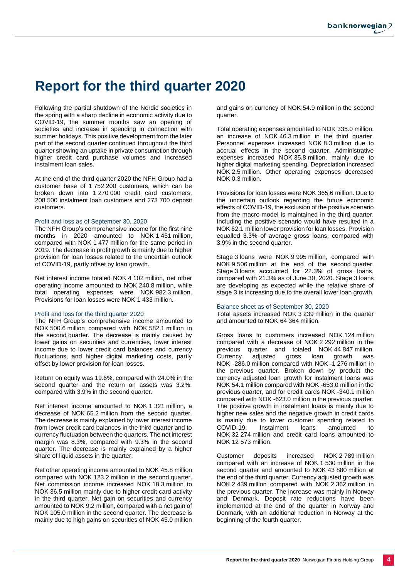# **Report for the third quarter 2020**

Following the partial shutdown of the Nordic societies in the spring with a sharp decline in economic activity due to COVID-19, the summer months saw an opening of societies and increase in spending in connection with summer holidays. This positive development from the later part of the second quarter continued throughout the third quarter showing an uptake in private consumption through higher credit card purchase volumes and increased instalment loan sales.

At the end of the third quarter 2020 the NFH Group had a customer base of 1 752 200 customers, which can be broken down into 1 270 000 credit card customers, 208 500 instalment loan customers and 273 700 deposit customers.

#### Profit and loss as of September 30, 2020

The NFH Group's comprehensive income for the first nine months in 2020 amounted to NOK 1 451 million, compared with NOK 1 477 million for the same period in 2019. The decrease in profit growth is mainly due to higher provision for loan losses related to the uncertain outlook of COVID-19, partly offset by loan growth.

Net interest income totaled NOK 4 102 million, net other operating income amounted to NOK 240.8 million, while total operating expenses were NOK 982.3 million. Provisions for loan losses were NOK 1 433 million.

#### Profit and loss for the third quarter 2020

The NFH Group's comprehensive income amounted to NOK 500.6 million compared with NOK 582.1 million in the second quarter. The decrease is mainly caused by lower gains on securities and currencies, lower interest income due to lower credit card balances and currency fluctuations, and higher digital marketing costs, partly offset by lower provision for loan losses.

Return on equity was 19.6%, compared with 24.0% in the second quarter and the return on assets was 3.2%, compared with 3.9% in the second quarter.

Net interest income amounted to NOK 1 321 million, a decrease of NOK 65.2 million from the second quarter. The decrease is mainly explained by lower interest income from lower credit card balances in the third quarter and to currency fluctuation between the quarters. The net interest margin was 8.3%, compared with 9.3% in the second quarter. The decrease is mainly explained by a higher share of liquid assets in the quarter.

Net other operating income amounted to NOK 45.8 million compared with NOK 123.2 million in the second quarter. Net commission income increased NOK 18.3 million to NOK 36.5 million mainly due to higher credit card activity in the third quarter. Net gain on securities and currency amounted to NOK 9.2 million, compared with a net gain of NOK 105.0 million in the second quarter. The decrease is mainly due to high gains on securities of NOK 45.0 million

and gains on currency of NOK 54.9 million in the second quarter.

Total operating expenses amounted to NOK 335.0 million, an increase of NOK 46.3 million in the third quarter. Personnel expenses increased NOK 8.3 million due to accrual effects in the second quarter. Administrative expenses increased NOK 35.8 million, mainly due to higher digital marketing spending. Depreciation increased NOK 2.5 million. Other operating expenses decreased NOK 0.3 million.

Provisions for loan losses were NOK 365.6 million. Due to the uncertain outlook regarding the future economic effects of COVID-19, the exclusion of the positive scenario from the macro-model is maintained in the third quarter. Including the positive scenario would have resulted in a NOK 62.1 million lower provision for loan losses. Provision equalled 3.3% of average gross loans, compared with 3.9% in the second quarter.

Stage 3 loans were NOK 9 995 million, compared with NOK 9 506 million at the end of the second quarter. Stage 3 loans accounted for 22.3% of gross loans, compared with 21.3% as of June 30, 2020. Stage 3 loans are developing as expected while the relative share of stage 3 is increasing due to the overall lower loan growth.

#### Balance sheet as of September 30, 2020

Total assets increased NOK 3 239 million in the quarter and amounted to NOK 64 364 million.

Gross loans to customers increased NOK 124 million compared with a decrease of NOK 2 292 million in the previous quarter and totaled NOK 44 847 million. Currency adjusted gross loan growth was NOK -286.0 million compared with NOK -1 276 million in the previous quarter. Broken down by product the currency adjusted loan growth for instalment loans was NOK 54.1 million compared with NOK -653.0 million in the previous quarter, and for credit cards NOK -340.1 million compared with NOK -623.0 million in the previous quarter. The positive growth in instalment loans is mainly due to higher new sales and the negative growth in credit cards is mainly due to lower customer spending related to COVID-19. Instalment loans amounted to NOK 32 274 million and credit card loans amounted to NOK 12 573 million.

Customer deposits increased NOK 2 789 million compared with an increase of NOK 1 530 million in the second quarter and amounted to NOK 43 880 million at the end of the third quarter. Currency adjusted growth was NOK 2 439 million compared with NOK 2 362 million in the previous quarter. The increase was mainly in Norway and Denmark. Deposit rate reductions have been implemented at the end of the quarter in Norway and Denmark, with an additional reduction in Norway at the beginning of the fourth quarter.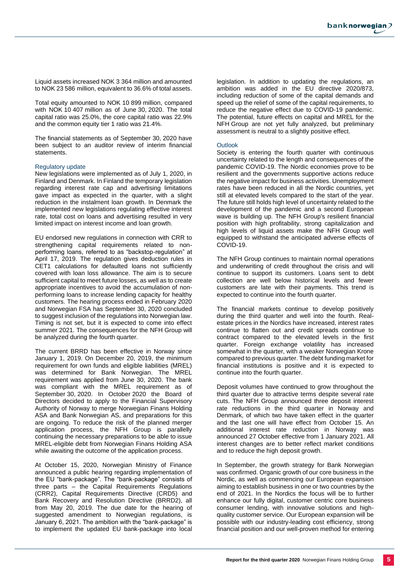Liquid assets increased NOK 3 364 million and amounted to NOK 23 586 million, equivalent to 36.6% of total assets.

Total equity amounted to NOK 10 899 million, compared with NOK 10 407 million as of June 30, 2020. The total capital ratio was 25.0%, the core capital ratio was 22.9% and the common equity tier 1 ratio was 21.4%.

The financial statements as of September 30, 2020 have been subject to an auditor review of interim financial statements.

#### Regulatory update

New legislations were implemented as of July 1, 2020, in Finland and Denmark. In Finland the temporary legislation regarding interest rate cap and advertising limitations gave impact as expected in the quarter, with a slight reduction in the instalment loan growth. In Denmark the implemented new legislations regulating effective interest rate, total cost on loans and advertising resulted in very limited impact on interest income and loan growth.

EU endorsed new regulations in connection with CRR to strengthening capital requirements related to nonperforming loans, referred to as "backstop-regulation" at April 17, 2019. The regulation gives deduction rules in CET1 calculations for defaulted loans not sufficiently covered with loan loss allowance. The aim is to secure sufficient capital to meet future losses, as well as to create appropriate incentives to avoid the accumulation of nonperforming loans to increase lending capacity for healthy customers. The hearing process ended in February 2020 and Norwegian FSA has September 30, 2020 concluded to suggest inclusion of the regulations into Norwegian law. Timing is not set, but it is expected to come into effect summer 2021. The consequences for the NFH Group will be analyzed during the fourth quarter.

The current BRRD has been effective in Norway since January 1, 2019. On December 20, 2019, the minimum requirement for own funds and eligible liabilities (MREL) was determined for Bank Norwegian. The MREL requirement was applied from June 30, 2020. The bank was compliant with the MREL requirement as of September 30, 2020. In October 2020 the Board of Directors decided to apply to the Financial Supervisory Authority of Norway to merge Norwegian Finans Holding ASA and Bank Norwegian AS, and preparations for this are ongoing. To reduce the risk of the planned merger application process, the NFH Group is parallelly continuing the necessary preparations to be able to issue MREL-eligible debt from Norwegian Finans Holding ASA while awaiting the outcome of the application process.

At October 15, 2020, Norwegian Ministry of Finance announced a public hearing regarding implementation of the EU "bank-package". The "bank-package" consists of three parts – the Capital Requirements Regulations (CRR2), Capital Requirements Directive (CRD5) and Bank Recovery and Resolution Directive (BRRD2), all from May 20, 2019. The due date for the hearing of suggested amendment to Norwegian regulations, is January 6, 2021. The ambition with the "bank-package" is to implement the updated EU bank-package into local legislation. In addition to updating the regulations, an ambition was added in the EU directive 2020/873, including reduction of some of the capital demands and speed up the relief of some of the capital requirements, to reduce the negative effect due to COVID-19 pandemic. The potential, future effects on capital and MREL for the NFH Group are not yet fully analyzed, but preliminary assessment is neutral to a slightly positive effect.

#### **Outlook**

Society is entering the fourth quarter with continuous uncertainty related to the length and consequences of the pandemic COVID-19. The Nordic economies prove to be resilient and the governments supportive actions reduce the negative impact for business activities. Unemployment rates have been reduced in all the Nordic countries, yet still at elevated levels compared to the start of the year. The future still holds high level of uncertainty related to the development of the pandemic and a second European wave is building up. The NFH Group's resilient financial position with high profitability, strong capitalization and high levels of liquid assets make the NFH Group well equipped to withstand the anticipated adverse effects of COVID-19.

The NFH Group continues to maintain normal operations and underwriting of credit throughout the crisis and will continue to support its customers. Loans sent to debt collection are well below historical levels and fewer customers are late with their payments. This trend is expected to continue into the fourth quarter.

The financial markets continue to develop positively during the third quarter and well into the fourth. Realestate prices in the Nordics have increased, interest rates continue to flatten out and credit spreads continue to contract compared to the elevated levels in the first quarter. Foreign exchange volatility has increased somewhat in the quarter, with a weaker Norwegian Krone compared to previous quarter. The debt funding market for financial institutions is positive and it is expected to continue into the fourth quarter.

Deposit volumes have continued to grow throughout the third quarter due to attractive terms despite several rate cuts. The NFH Group announced three deposit interest rate reductions in the third quarter in Norway and Denmark, of which two have taken effect in the quarter and the last one will have effect from October 15. An additional interest rate reduction in Norway was announced 27 October effective from 1 January 2021. All interest changes are to better reflect market conditions and to reduce the high deposit growth.

In September, the growth strategy for Bank Norwegian was confirmed. Organic growth of our core business in the Nordic, as well as commencing our European expansion aiming to establish business in one or two countries by the end of 2021. In the Nordics the focus will be to further enhance our fully digital, customer centric core business consumer lending, with innovative solutions and highquality customer service. Our European expansion will be possible with our industry-leading cost efficiency, strong financial position and our well-proven method for entering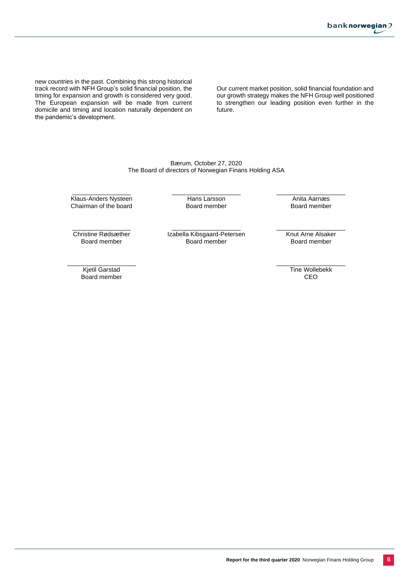new countries in the past. Combining this strong historical track record with NFH Group's solid financial position, the timing for expansion and growth is considered very good. The European expansion will be made from current domicile and timing and location naturally dependent on the pandemic's development.

Our current market position, solid financial foundation and our growth strategy makes the NFH Group well positioned to strengthen our leading position even further in the future.

Bærum, October 27, 2020 The Board of directors of Norwegian Finans Holding ASA

\_\_\_\_\_\_\_\_\_\_\_\_\_\_\_\_\_ Klaus-Anders Nysteen Chairman of the board \_\_\_\_\_\_\_\_\_\_\_\_\_\_\_\_\_\_\_\_ Hans Larsson Board member

\_\_\_\_\_\_\_\_\_\_\_\_\_\_\_\_\_\_\_\_ Anita Aarnæs Board member

\_\_\_\_\_\_\_\_\_\_\_\_\_\_\_\_\_ Christine Rødsæther Board member

\_\_\_\_\_\_\_\_\_\_\_\_\_\_\_\_\_\_\_\_ Izabella Kibsgaard-Petersen Board member

Knut Arne Alsaker Board member

\_\_\_\_\_\_\_\_\_\_\_\_\_\_\_\_\_\_\_\_

\_\_\_\_\_\_\_\_\_\_\_\_\_\_\_\_\_\_\_\_ Kjetil Garstad Board member

\_\_\_\_\_\_\_\_\_\_\_\_\_\_\_\_\_\_\_\_ Tine Wollebekk CEO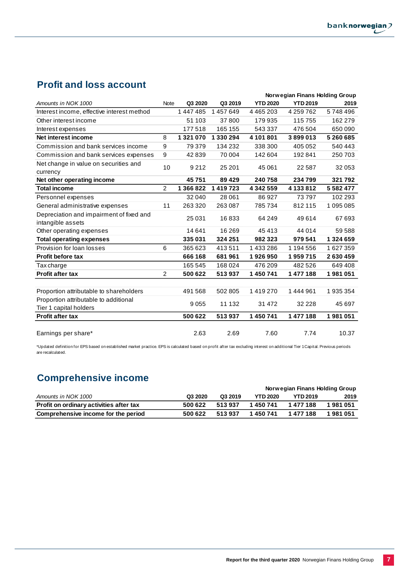# **Profit and loss account**

|                                                                 |                |           |           | Norwegian Finans Holding Group |                 |               |  |  |
|-----------------------------------------------------------------|----------------|-----------|-----------|--------------------------------|-----------------|---------------|--|--|
| Amounts in NOK 1000                                             | Note           | Q3 2020   | Q3 2019   | <b>YTD 2020</b>                | <b>YTD 2019</b> | 2019          |  |  |
| Interest income, effective interest method                      |                | 1 447 485 | 1457649   | 4 4 6 5 2 0 3                  | 4 259 762       | 5748496       |  |  |
| Other interest income                                           |                | 51 103    | 37800     | 179 935                        | 115 755         | 162 279       |  |  |
| Interest expenses                                               |                | 177 518   | 165 155   | 543 337                        | 476 504         | 650090        |  |  |
| Net interest income                                             | 8              | 1 321 070 | 1 330 294 | 4 101 801                      | 3899013         | 5 260 685     |  |  |
| Commission and bank services income                             | 9              | 79 379    | 134 232   | 338 300                        | 405 052         | 540 443       |  |  |
| Commission and bank services expenses                           | 9              | 42839     | 70 004    | 142 604                        | 192841          | 250 703       |  |  |
| Net change in value on securities and                           | 10             | 9 2 1 2   | 25 201    | 45 061                         | 22 5 8 7        | 32 053        |  |  |
| currency                                                        |                |           |           |                                |                 |               |  |  |
| Net other operating income                                      |                | 45751     | 89 4 29   | 240758                         | 234799          | 321792        |  |  |
| <b>Total income</b>                                             | $\overline{2}$ | 1 366 822 | 1 419 723 | 4 342 559                      | 4 133 812       | 5 5 8 2 4 7 7 |  |  |
| Personnel expenses                                              |                | 32 040    | 28 061    | 86927                          | 73797           | 102 293       |  |  |
| General administrative expenses                                 | 11             | 263 320   | 263 087   | 785734                         | 812 115         | 1095085       |  |  |
| Depreciation and impairment of fixed and<br>intangible assets   |                | 25 0 31   | 16833     | 64 249                         | 49614           | 67 693        |  |  |
| Other operating expenses                                        |                | 14 641    | 16 269    | 45 413                         | 44 014          | 59 588        |  |  |
| <b>Total operating expenses</b>                                 |                | 335 031   | 324 251   | 982 323                        | 979 541         | 1 324 659     |  |  |
| Provision for loan losses                                       | 6              | 365 623   | 413511    | 1433286                        | 1 194 556       | 1627359       |  |  |
| Profit before tax                                               |                | 666 168   | 681961    | 1926950                        | 1959715         | 2630459       |  |  |
| Tax charge                                                      |                | 165 545   | 168 024   | 476 209                        | 482 526         | 649 408       |  |  |
| <b>Profit after tax</b>                                         | $\overline{2}$ | 500 622   | 513937    | 1450741                        | 1477188         | 1981051       |  |  |
|                                                                 |                |           |           |                                |                 |               |  |  |
| Proportion attributable to shareholders                         |                | 491 568   | 502 805   | 1419270                        | 1444961         | 1935354       |  |  |
| Proportion attributable to additional<br>Tier 1 capital holders |                | 9055      | 11 132    | 31 472                         | 32 2 2 8        | 45 697        |  |  |
| <b>Profit after tax</b>                                         |                | 500 622   | 513937    | 1 450 741                      | 1 477 188       | 1981051       |  |  |
| Earnings per share*                                             |                | 2.63      | 2.69      | 7.60                           | 7.74            | 10.37         |  |  |

\*Updated definition for EPS based on established market practice. EPS is calculated based on profit after tax excluding interest on additional Tier 1 Capital. Previous periods are recalculated.

# **Comprehensive income**

|                                         |         |         |                 | Norwegian Finans Holding Group |         |
|-----------------------------------------|---------|---------|-----------------|--------------------------------|---------|
| Amounts in NOK 1000                     | Q3 2020 | Q3 2019 | <b>YTD 2020</b> | <b>YTD 2019</b>                | 2019    |
| Profit on ordinary activities after tax | 500 622 | 513937  | 1 450 741       | 1 477 188                      | 1981051 |
| Comprehensive income for the period     | 500 622 | 513937  | 1450741         | 1477188                        | 1981051 |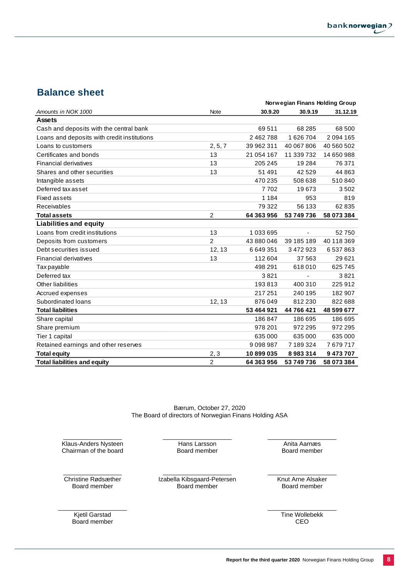# **Balance sheet**

|                                             |                | Norwegian Finans Holding Group |            |            |  |  |
|---------------------------------------------|----------------|--------------------------------|------------|------------|--|--|
| Amounts in NOK 1000                         | Note           | 30.9.20                        | 30.9.19    | 31.12.19   |  |  |
| <b>Assets</b>                               |                |                                |            |            |  |  |
| Cash and deposits with the central bank     |                | 69511                          | 68 285     | 68 500     |  |  |
| Loans and deposits with credit institutions |                | 2462788                        | 1626704    | 2094165    |  |  |
| Loans to customers                          | 2, 5, 7        | 39 962 311                     | 40 067 806 | 40 560 502 |  |  |
| Certificates and bonds                      | 13             | 21 054 167                     | 11 339 732 | 14 650 988 |  |  |
| <b>Financial derivatives</b>                | 13             | 205 245                        | 19 2 84    | 76 371     |  |  |
| Shares and other securities                 | 13             | 51 491                         | 42529      | 44 863     |  |  |
| Intangible assets                           |                | 470 235                        | 508 638    | 510840     |  |  |
| Deferred tax asset                          |                | 7702                           | 19673      | 3502       |  |  |
| Fixed assets                                |                | 1 1 8 4                        | 953        | 819        |  |  |
| Receivables                                 |                | 79 322                         | 56 133     | 62 835     |  |  |
| <b>Total assets</b>                         | 2              | 64 363 956                     | 53 749 736 | 58 073 384 |  |  |
| <b>Liabilities and equity</b>               |                |                                |            |            |  |  |
| Loans from credit institutions              | 13             | 1033695                        |            | 52750      |  |  |
| Deposits from customers                     | $\overline{2}$ | 43 880 046                     | 39 185 189 | 40 118 369 |  |  |
| Debt securities issued                      | 12, 13         | 6649351                        | 3 472 923  | 6537863    |  |  |
| <b>Financial derivatives</b>                | 13             | 112 604                        | 37 563     | 29621      |  |  |
| <b>Tax payable</b>                          |                | 498 291                        | 618010     | 625 745    |  |  |
| Deferred tax                                |                | 3821                           |            | 3821       |  |  |
| Other liabilities                           |                | 193813                         | 400 310    | 225 912    |  |  |
| Accrued expenses                            |                | 217 251                        | 240 195    | 182 907    |  |  |
| Subordinated loans                          | 12, 13         | 876 049                        | 812 230    | 822 688    |  |  |
| <b>Total liabilities</b>                    |                | 53 464 921                     | 44 766 421 | 48 599 677 |  |  |
| Share capital                               |                | 186847                         | 186 695    | 186 695    |  |  |
| Share premium                               |                | 978 201                        | 972 295    | 972 295    |  |  |
| Tier 1 capital                              |                | 635 000                        | 635 000    | 635 000    |  |  |
| Retained earnings and other reserves        |                | 9098987                        | 7 189 324  | 7679717    |  |  |
| <b>Total equity</b>                         | 2, 3           | 10899035                       | 8983314    | 9473707    |  |  |
| <b>Total liabilities and equity</b>         | $\overline{2}$ | 64 363 956                     | 53 749 736 | 58 073 384 |  |  |

Bærum, October 27, 2020 The Board of directors of Norwegian Finans Holding ASA

\_\_\_\_\_\_\_\_\_\_\_\_\_\_\_\_\_ Klaus-Anders Nysteen Chairman of the board \_\_\_\_\_\_\_\_\_\_\_\_\_\_\_\_\_\_\_\_ Hans Larsson Board member

 $\overline{\phantom{a}}$  , where  $\overline{\phantom{a}}$  , where  $\overline{\phantom{a}}$  , where  $\overline{\phantom{a}}$ Christine Rødsæther Board member

\_\_\_\_\_\_\_\_\_\_\_\_\_\_\_\_\_\_\_\_ Izabella Kibsgaard-Petersen Board member

 $\_$ Knut Arne Alsaker

\_\_\_\_\_\_\_\_\_\_\_\_\_\_\_\_\_\_\_\_ Anita Aarnæs Board member

Board member

\_\_\_\_\_\_\_\_\_\_\_\_\_\_\_\_\_\_\_\_ Kjetil Garstad Board member

 $\_$ Tine Wollebekk CEO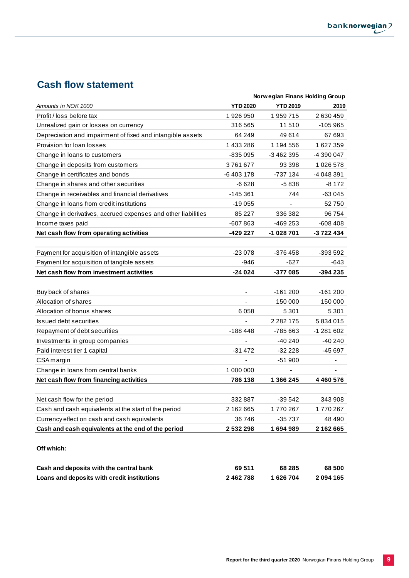# **Cash flow statement**

|                                                               |                 | Norwegian Finans Holding Group |                          |
|---------------------------------------------------------------|-----------------|--------------------------------|--------------------------|
| Amounts in NOK 1000                                           | <b>YTD 2020</b> | <b>YTD 2019</b>                | 2019                     |
| Profit / loss before tax                                      | 1926950         | 1959715                        | 2 630 459                |
| Unrealized gain or losses on currency                         | 316 565         | 11510                          | $-105965$                |
| Depreciation and impairment of fixed and intangible assets    | 64 249          | 49614                          | 67 693                   |
| Provision for loan losses                                     | 1 433 286       | 1 194 556                      | 1627359                  |
| Change in loans to customers                                  | $-835095$       | -3 462 395                     | -4 390 047               |
| Change in deposits from customers                             | 3761677         | 93 3 98                        | 1026578                  |
| Change in certificates and bonds                              | -6403178        | -737 134                       | -4 048 391               |
| Change in shares and other securities                         | -6 628          | -5838                          | -8 172                   |
| Change in receivables and financial derivatives               | $-145361$       | 744                            | $-63045$                 |
| Change in loans from credit institutions                      | $-19055$        | $\overline{\phantom{a}}$       | 52750                    |
| Change in derivatives, accrued expenses and other liabilities | 85 227          | 336 382                        | 96 754                   |
| Income taxes paid                                             | $-607863$       | -469 253                       | $-608408$                |
| Net cash flow from operating activities                       | -429 227        | -1 028 701                     | -3 722 434               |
|                                                               |                 |                                |                          |
| Payment for acquisition of intangible assets                  | $-23078$        | $-376458$                      | $-393592$                |
| Payment for acquisition of tangible assets                    | -946            | -627                           | -643                     |
| Net cash flow from investment activities                      | -24 024         | -377 085                       | -394 235                 |
|                                                               |                 |                                |                          |
| Buy back of shares                                            |                 | $-161200$                      | $-161200$                |
| Allocation of shares                                          |                 | 150 000                        | 150 000                  |
| Allocation of bonus shares                                    | 6058            | 5 3 0 1                        | 5 3 0 1                  |
| Issued debt securities                                        |                 | 2 2 8 2 1 7 5                  | 5834015                  |
| Repayment of debt securities                                  | $-188448$       | -785 663                       | -1 281 602               |
| Investments in group companies                                |                 | $-40240$                       | $-40240$                 |
| Paid interest tier 1 capital                                  | -31 472         | $-32228$                       | $-45697$                 |
| CSA margin                                                    | $\blacksquare$  | $-51900$                       | $\overline{\phantom{a}}$ |
| Change in loans from central banks                            | 1 000 000       |                                |                          |
| Net cash flow from financing activities                       | 786 138         | 1 366 245                      | 4 4 6 0 5 7 6            |
|                                                               |                 |                                |                          |
| Net cash flow for the period                                  | 332 887         | $-39542$                       | 343 908                  |
| Cash and cash equivalents at the start of the period          | 2 162 665       | 1770267                        | 1770267                  |
| Currency effect on cash and cash equivalents                  | 36746           | -35 737                        | 48 490                   |
| Cash and cash equivalents at the end of the period            | 2532298         | 1694989                        | 2 162 665                |
|                                                               |                 |                                |                          |
| Off which:                                                    |                 |                                |                          |
|                                                               |                 |                                |                          |
| Cash and deposits with the central bank                       | 69511           | 68 285                         | 68 500                   |
| Loans and deposits with credit institutions                   | 2 462 788       | 1626704                        | 2 094 165                |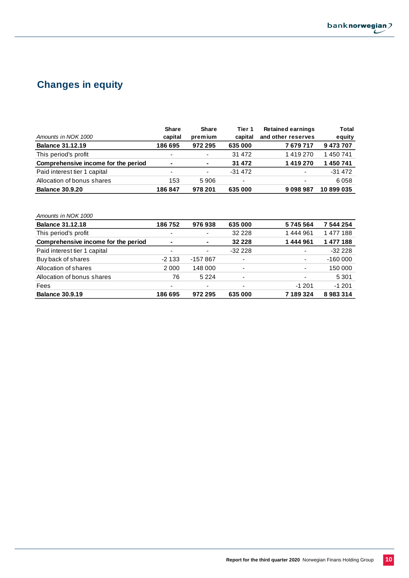

# **Changes in equity**

|                                     | <b>Share</b>             | <b>Share</b> | Tier 1                   | <b>Retained earnings</b> | Total      |
|-------------------------------------|--------------------------|--------------|--------------------------|--------------------------|------------|
| Amounts in NOK 1000                 | capital                  | premium      | capital                  | and other reserves       | equity     |
| <b>Balance 31.12.19</b>             | 186 695                  | 972 295      | 635 000                  | 7679717                  | 9473707    |
| This period's profit                | $\overline{\phantom{0}}$ | ٠            | 31 472                   | 1419270                  | 1 450 741  |
| Comprehensive income for the period | $\blacksquare$           | ۰            | 31 472                   | 1419270                  | 1450741    |
| Paid interest tier 1 capital        | $\overline{\phantom{0}}$ | ۰            | $-31472$                 |                          | $-31472$   |
| Allocation of bonus shares          | 153                      | 5906         | $\overline{\phantom{a}}$ | -                        | 6058       |
| <b>Balance 30.9.20</b>              | 186847                   | 978 201      | 635 000                  | 9098987                  | 10 899 035 |

| Amounts in NOK 1000                 |                          |           |                          |                          |           |
|-------------------------------------|--------------------------|-----------|--------------------------|--------------------------|-----------|
| <b>Balance 31.12.18</b>             | 186 752                  | 976938    | 635 000                  | 5745564                  | 7 544 254 |
| This period's profit                | $\overline{\phantom{a}}$ | ٠         | 32 2 2 8                 | 1444961                  | 1477188   |
| Comprehensive income for the period | $\blacksquare$           | ٠         | 32 2 2 8                 | 1444961                  | 1 477 188 |
| Paid interest tier 1 capital        | $\overline{\phantom{0}}$ | ٠         | $-32228$                 |                          | $-32228$  |
| Buy back of shares                  | $-2133$                  | $-157867$ | ٠                        | ۰                        | $-160000$ |
| Allocation of shares                | 2000                     | 148 000   | $\overline{\phantom{a}}$ | $\overline{\phantom{0}}$ | 150 000   |
| Allocation of bonus shares          | 76                       | 5 2 2 4   | ٠                        | ۰                        | 5 3 0 1   |
| Fees                                | $\overline{\phantom{0}}$ | ٠         | ٠                        | $-1201$                  | $-1201$   |
| <b>Balance 30.9.19</b>              | 186 695                  | 972 295   | 635 000                  | 7189324                  | 8983314   |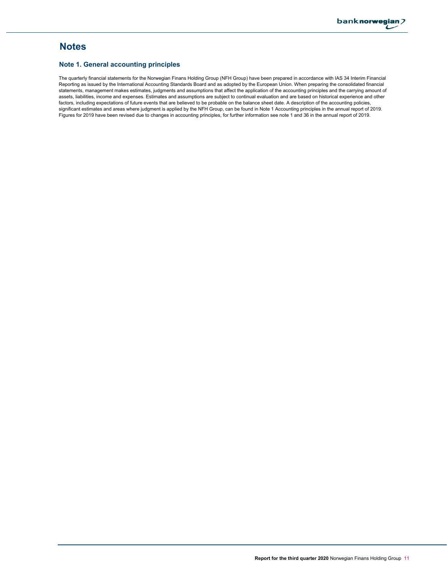# **Notes**

#### **Note 1. General accounting principles**

The quarterly financial statements for the Norwegian Finans Holding Group (NFH Group) have been prepared in accordance with IAS 34 Interim Financial Reporting as issued by the International Accounting Standards Board and as adopted by the European Union. When preparing the consolidated financial statements, management makes estimates, judgments and assumptions that affect the application of the accounting principles and the carrying amount of assets, liabilities, income and expenses. Estimates and assumptions are subject to continual evaluation and are based on historical experience and other factors, including expectations of future events that are believed to be probable on the balance sheet date. A description of the accounting policies, significant estimates and areas where judgment is applied by the NFH Group, can be found in Note 1 Accounting principles in the annual report of 2019. Figures for 2019 have been revised due to changes in accounting principles, for further information see note 1 and 36 in the annual report of 2019.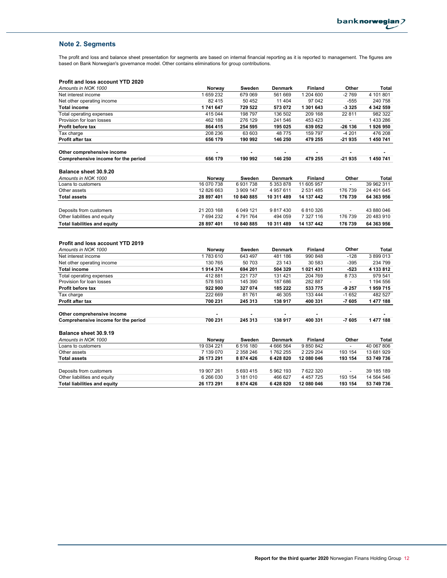#### **Note 2. Segments**

The profit and loss and balance sheet presentation for segments are based on internal financial reporting as it is reported to management. The figures are based on Bank Norwegian's governance model. Other contains eliminations for group contributions.

#### **Profit and loss account YTD 2020**

| Amounts in NOK 1000                                            | Norway     | Sweden     | <b>Denmark</b> | <b>Finland</b> | Other                    | Total      |
|----------------------------------------------------------------|------------|------------|----------------|----------------|--------------------------|------------|
| Net interest income                                            | 1659232    | 679 069    | 561 669        | 1 204 600      | $-2769$                  | 4 101 801  |
| Net other operating income                                     | 82 415     | 50 452     | 11 404         | 97 042         | $-555$                   | 240 758    |
| <b>Total income</b>                                            | 1741647    | 729 522    | 573 072        | 1 301 643      | $-3325$                  | 4 342 559  |
| Total operating expenses                                       | 415 044    | 198 797    | 136 502        | 209 168        | 22 811                   | 982 322    |
| Provision for loan losses                                      | 462 188    | 276 129    | 241 546        | 453 423        | $\blacksquare$           | 1433286    |
| Profit before tax                                              | 864 415    | 254 595    | 195 025        | 639 052        | -26 136                  | 1926950    |
| Tax charge                                                     | 208 236    | 63 603     | 48775          | 159 797        | $-4201$                  | 476 208    |
| Profit after tax                                               | 656 179    | 190 992    | 146 250        | 479 255        | -21 935                  | 1 450 741  |
| Other comprehensive income                                     |            | ä,         | $\blacksquare$ |                | $\overline{\phantom{a}}$ |            |
| Comprehensive income for the period                            | 656 179    | 190 992    | 146 250        | 479 255        | $-21935$                 | 1 450 741  |
| <b>Balance sheet 30.9.20</b>                                   |            |            |                |                |                          |            |
| Amounts in NOK 1000                                            | Norway     | Sweden     | <b>Denmark</b> | <b>Finland</b> | Other                    | Total      |
| Loans to customers                                             | 16 070 738 | 6931738    | 5 353 878      | 11 605 957     | $\overline{\phantom{a}}$ | 39 962 311 |
| Other assets                                                   | 12 826 663 | 3 909 147  | 4 957 611      | 2 531 485      | 176 739                  | 24 401 645 |
| <b>Total assets</b>                                            | 28 897 401 | 10 840 885 | 10 311 489     | 14 137 442     | 176 739                  | 64 363 956 |
|                                                                |            |            |                |                |                          |            |
| Deposits from customers                                        | 21 203 168 | 6 049 121  | 9817430        | 6810326        |                          | 43 880 046 |
| Other liabilities and equity                                   | 7 694 232  | 4791764    | 494 059        | 7 327 116      | 176 739                  | 20 483 910 |
| <b>Total liabilities and equity</b>                            | 28 897 401 | 10 840 885 | 10 311 489     | 14 137 442     | 176 739                  | 64 363 956 |
| <b>Profit and loss account YTD 2019</b><br>Amounts in NOK 1000 | Norway     | Sweden     | Denmark        | <b>Finland</b> | Other                    | Total      |
| Net interest income                                            | 1783610    | 643 497    | 481 186        | 990 848        | $-128$                   | 3899013    |
| Net other operating income                                     | 130 765    | 50 703     | 23 143         | 30 583         | $-395$                   | 234 799    |
| <b>Total income</b>                                            | 1914374    | 694 201    | 504 329        | 1 021 431      | $-523$                   | 4 133 812  |
| Total operating expenses                                       | 412881     | 221 737    | 131 421        | 204 769        | 8733                     | 979 541    |
| Provision for loan losses                                      | 578 593    | 145 390    | 187 686        | 282 887        | $\overline{a}$           | 1 194 556  |
| Profit before tax                                              | 922 900    | 327 074    | 185 222        | 533 775        | $-9257$                  | 1959715    |
| Tax charge                                                     | 222 669    | 81761      | 46 305         | 133 444        | $-1652$                  | 482 527    |
| <b>Profit after tax</b>                                        | 700 231    | 245 313    | 138 917        | 400 331        | $-7605$                  | 1 477 188  |
| Other comprehensive income                                     |            |            |                |                |                          |            |
| Comprehensive income for the period                            | 700 231    | 245 313    | 138 917        | 400 331        | $-7605$                  | 1 477 188  |
| <b>Balance sheet 30.9.19</b>                                   |            |            |                |                |                          |            |
| Amounts in NOK 1000                                            | Norway     | Sweden     | Denmark        | <b>Finland</b> | Other                    | Total      |
| Loans to customers                                             | 19 034 221 | 6 516 180  | 4 666 564      | 9850842        |                          | 40 067 806 |
| Other assets                                                   | 7 139 070  | 2 358 246  | 1762 255       | 2 2 2 9 2 0 4  | 193 154                  | 13 681 929 |
| <b>Total assets</b>                                            | 26 173 291 | 8 874 426  | 6 428 820      | 12 080 046     | 193 154                  | 53 749 736 |
| Deposits from customers                                        | 19 907 261 | 5 693 415  | 5962193        | 7 622 320      |                          | 39 185 189 |
| Other liabilities and equity                                   |            |            |                |                |                          |            |
|                                                                | 6 266 030  | 3 181 010  | 466 627        | 4 457 725      | 193 154                  | 14 564 546 |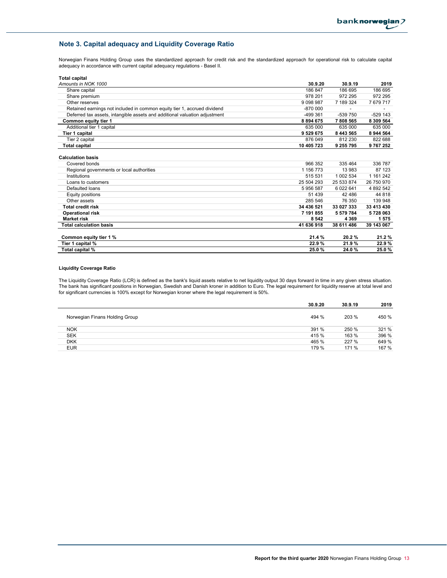## **Note 3. Capital adequacy and Liquidity Coverage Ratio**

Norwegian Finans Holding Group uses the standardized approach for credit risk and the standardized approach for operational risk to calculate capital adequacy in accordance with current capital adequacy regulations - Basel II.

| <b>Total capital</b>                                                       |               |               |            |
|----------------------------------------------------------------------------|---------------|---------------|------------|
| Amounts in NOK 1000                                                        | 30.9.20       | 30.9.19       | 2019       |
| Share capital                                                              | 186 847       | 186 695       | 186 695    |
| Share premium                                                              | 978 201       | 972 295       | 972 295    |
| Other reserves                                                             | 9 0 9 8 9 8 7 | 7 189 324     | 7679717    |
| Retained earnings not included in common equity tier 1, accrued dividend   | $-870000$     |               |            |
| Deferred tax assets, intangible assets and additional valuation adjustment | $-499.361$    | $-539750$     | $-529$ 143 |
| Common equity tier 1                                                       | 8 8 9 4 6 7 5 | 7808565       | 8 309 564  |
| Additional tier 1 capital                                                  | 635 000       | 635 000       | 635 000    |
| Tier 1 capital                                                             | 9 529 675     | 8 4 4 3 5 6 5 | 8 944 564  |
| Tier 2 capital                                                             | 876 049       | 812 230       | 822 688    |
| Total capital                                                              | 10 405 723    | 9 255 795     | 9767252    |
| <b>Calculation basis</b><br>Covered bonds                                  | 966 352       | 335 464       | 336 787    |
| Regional governments or local authorities                                  | 1 156 773     | 13 983        | 87 123     |
| Institutions                                                               | 515 531       | 1 002 534     | 1 161 242  |
| Loans to customers                                                         | 25 504 293    | 25 533 874    | 26 750 970 |
| Defaulted loans                                                            | 5956587       | 6 022 641     | 4 892 542  |
| Equity positions                                                           | 51 439        | 42 48 6       | 44 8 18    |
| Other assets                                                               | 285 546       | 76 350        | 139 948    |
| <b>Total credit risk</b>                                                   | 34 436 521    | 33 027 333    | 33 413 430 |
| <b>Operational risk</b>                                                    | 7 191 855     | 5 579 784     | 5728063    |
| <b>Market risk</b>                                                         | 8 5 4 2       | 4 3 6 9       | 1575       |
| <b>Total calculation basis</b>                                             | 41 636 918    | 38 611 486    | 39 143 067 |
| Common equity tier 1 %                                                     | 21.4 %        | 20.2%         | 21.2%      |
| Tier 1 capital %                                                           | 22.9%         | 21.9%         | 22.9%      |
| Total capital %                                                            | 25.0%         | 24.0%         | 25.0%      |

#### **Liquidity Coverage Ratio**

The Liquidity Coverage Ratio (LCR) is defined as the bank's liquid assets relative to net liquidity output 30 days forward in time in any given stress situation. The bank has significant positions in Norwegian, Swedish and Danish kroner in addition to Euro. The legal requirement for liquidity reserve at total level and for significant currencies is 100% except for Norwegian kroner where the legal requirement is 50%.

|                                | 30.9.20 | 30.9.19 | 2019  |
|--------------------------------|---------|---------|-------|
| Norwegian Finans Holding Group | 494 %   | 203 %   | 450 % |
| <b>NOK</b>                     | 391 %   | 250 %   | 321 % |
| <b>SEK</b>                     | 415 %   | 163 %   | 396 % |
| <b>DKK</b>                     | 465 %   | 227 %   | 649 % |
| <b>EUR</b>                     | 179 %   | 171 %   | 167 % |
|                                |         |         |       |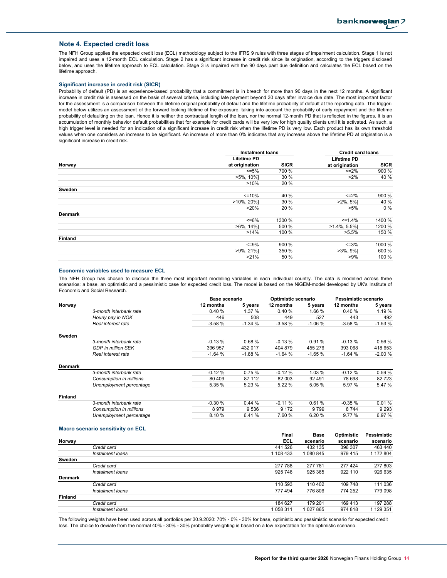#### **Note 4. Expected credit loss**

The NFH Group applies the expected credit loss (ECL) methodology subject to the IFRS 9 rules with three stages of impairment calculation. Stage 1 is not impaired and uses a 12-month ECL calculation. Stage 2 has a significant increase in credit risk since its origination, according to the triggers disclosed below, and uses the lifetime approach to ECL calculation. Stage 3 is impaired with the 90 days past due definition and calculates the ECL based on the lifetime approach.

#### **Significant increase in credit risk (SICR)**

Probability of default (PD) is an experience-based probability that a commitment is in breach for more than 90 days in the next 12 months. A significant increase in credit risk is assessed on the basis of several criteria, including late payment beyond 30 days after invoice due date. The most important factor for the assessment is a comparison between the lifetime original probability of default and the lifetime probability of default at the reporting date. The triggermodel below utilizes an assessment of the forward looking lifetime of the exposure, taking into account the probability of early repayment and the lifetime probability of defaulting on the loan. Hence it is neither the contractual length of the loan, nor the normal 12-month PD that is reflected in the figures. It is an accumulation of monthly behavior default probabilities that for example for credit cards will be very low for high quality clients until it is activated. As such, a high trigger level is needed for an indication of a significant increase in credit risk when the lifetime PD is very low. Each product has its own threshold values when one considers an increase to be significant. An increase of more than 0% indicates that any increase above the lifetime PD at origination is a significant increase in credit risk.

|                          | <b>Instalment loans</b> |                    | <b>Credit card loans</b> |
|--------------------------|-------------------------|--------------------|--------------------------|
| <b>Lifetime PD</b>       |                         | <b>Lifetime PD</b> |                          |
| at origination<br>Norway | <b>SICR</b>             | at origination     | <b>SICR</b>              |
| $\leq 5\%$               | 700 %                   | $\leq$ = 2%        | 900 %                    |
| $>5\%$ , 10%]            | 30 %                    | $>2\%$             | 40 %                     |
| >10%                     | 20 %                    |                    |                          |
| Sweden                   |                         |                    |                          |
| $\leq$ = 10%             | 40 %                    | $\leq$ 2%          | 900 %                    |
| $>10\%$ , 20%]           | 30 %                    | $>2\%$ , 5%]       | 40 %                     |
| $>20\%$                  | 20 %                    | $>5\%$             | $0\%$                    |
| <b>Denmark</b>           |                         |                    |                          |
| $<=6\%$                  | 1300 %                  | $\leq 1.4\%$       | 1400 %                   |
| $>6\%$ , 14%]            | 500 %                   | $>1.4\%$ , 5.5%]   | 1200 %                   |
| $>14\%$                  | 100 %                   | $>5.5\%$           | 150 %                    |
| <b>Finland</b>           |                         |                    |                          |
| $\leq$ =9%               | 900 %                   | $\leq 3\%$         | 1000 %                   |
| $>9\%$ , 21%]            | 350 %                   | $>3\%$ , $9\%$ ]   | 600 %                    |
| >21%                     | 50 %                    | $>9\%$             | 100 %                    |

#### **Economic variables used to measure ECL**

The NFH Group has chosen to disclose the three most important modelling variables in each individual country. The data is modelled across three scenarios: a base, an optimistic and a pessimistic case for expected credit loss. The model is based on the NiGEM-model developed by UK's Institute of Economic and Social Research.

|                |                           |           | <b>Base scenario</b> |           | Optimistic scenario |           | Pessimistic scenario |  |
|----------------|---------------------------|-----------|----------------------|-----------|---------------------|-----------|----------------------|--|
| Norway         |                           | 12 months | 5 years              | 12 months | 5 years             | 12 months | 5 years              |  |
|                | 3-month interbank rate    | 0.40%     | 1.37%                | 0.40%     | 1.66 %              | 0.40%     | 1.19%                |  |
|                | Hourly pay in NOK         | 446       | 508                  | 449       | 527                 | 443       | 492                  |  |
|                | Real interest rate        | $-3.58%$  | $-1.34%$             | $-3.58%$  | $-1.06%$            | $-3.58%$  | $-1.53%$             |  |
| Sweden         |                           |           |                      |           |                     |           |                      |  |
|                | 3-month interbank rate    | $-0.13%$  | 0.68%                | $-0.13%$  | 0.91%               | $-0.13%$  | 0.56%                |  |
|                | <b>GDP</b> in million SEK | 396 957   | 432 017              | 404 879   | 455 276             | 393 068   | 418 653              |  |
|                | Real interest rate        | $-1.64%$  | $-1.88%$             | $-1.64%$  | $-1.65%$            | $-1.64%$  | $-2.00%$             |  |
| Denmark        |                           |           |                      |           |                     |           |                      |  |
|                | 3-month interbank rate    | $-0.12%$  | 0.75%                | $-0.12%$  | 1.03 %              | $-0.12%$  | 0.59%                |  |
|                | Consumption in millions   | 80 409    | 87 112               | 82 003    | 92 4 91             | 78 698    | 82 723               |  |
|                | Unemployment percentage   | 5.35 %    | 5.23 %               | 5.22 %    | 5.05 %              | 5.97 %    | 5.47 %               |  |
| <b>Finland</b> |                           |           |                      |           |                     |           |                      |  |
|                | 3-month interbank rate    | $-0.30%$  | 0.44%                | $-0.11%$  | 0.61%               | $-0.35%$  | 0.01%                |  |
|                | Consumption in millions   | 8979      | 9536                 | 9 1 7 2   | 9799                | 8744      | 9 2 9 3              |  |
|                | Unemployment percentage   | 8.10%     | 6.41 %               | 7.60 %    | 6.20%               | 9.77 %    | 6.97 %               |  |
|                |                           |           |                      |           |                     |           |                      |  |

#### **Macro scenario sensitivity on ECL**

|                |                  | Final     | <b>Base</b> | Optimistic | Pessimistic |
|----------------|------------------|-----------|-------------|------------|-------------|
| Norway         |                  | ECL       | scenario    | scenario   | scenario    |
|                | Credit card      | 441 526   | 432 135     | 396 307    | 463 440     |
|                | Instalment loans | 1 108 433 | 1 080 845   | 979 415    | 1 172 804   |
| Sweden         |                  |           |             |            |             |
|                | Credit card      | 277 788   | 277 781     | 277 424    | 277 803     |
|                | Instalment loans | 925 746   | 925 365     | 922 110    | 926 635     |
| <b>Denmark</b> |                  |           |             |            |             |
|                | Credit card      | 110 593   | 110 402     | 109 748    | 111 036     |
|                | Instalment loans | 777 494   | 776 806     | 774 252    | 779 098     |
| <b>Finland</b> |                  |           |             |            |             |
|                | Credit card      | 184 627   | 179 201     | 169 413    | 197 288     |
|                | Instalment loans | 1058311   | 1 027 865   | 974 818    | 1 129 351   |
|                |                  |           |             |            |             |

The following weights have been used across all portfolios per 30.9.2020: 70% - 0% - 30% for base, optimistic and pessimistic scenario for expected credit loss. The choice to deviate from the normal 40% - 30% - 30% probability weighting is based on a low expectation for the optimistic scenario.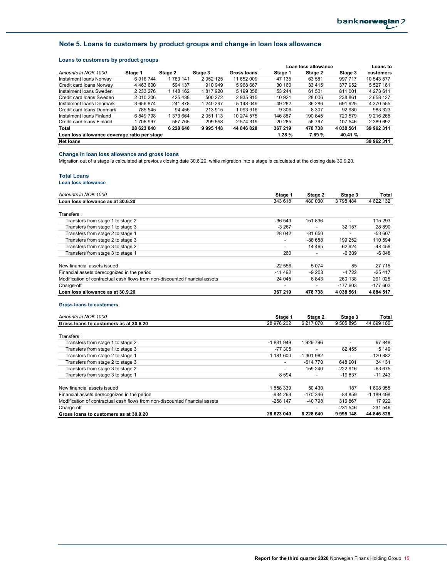## **Note 5. Loans to customers by product groups and change in loan loss allowance**

## **Loans to customers by product groups**

|                                              |            |           |               | Loan loss allowance |           |         | <b>Loans to</b> |             |
|----------------------------------------------|------------|-----------|---------------|---------------------|-----------|---------|-----------------|-------------|
| Amounts in NOK 1000                          | Stage 1    | Stage 2   | Stage 3       | <b>Gross loans</b>  | Stage 1   | Stage 2 | Stage 3         | customers   |
| Instalment Ioans Norway                      | 6916744    | 1 783 141 | 2 952 125     | 11 652 009          | 47 135    | 63 581  | 997 717         | 10 543 577  |
| Credit card loans Norway                     | 4 463 600  | 594 137   | 910 949       | 5968687             | 30 160    | 33 4 15 | 377952          | 5 5 27 1 61 |
| Instalment Ioans Sweden                      | 2 233 276  | 1 148 162 | 817920        | 5 199 358           | 53 244    | 61 501  | 811 001         | 4 273 611   |
| Credit card loans Sweden                     | 2 010 206  | 425 438   | 500 272       | 2935915             | 10 921    | 28 006  | 238 861         | 2658127     |
| Instalment Ioans Denmark                     | 3656874    | 241878    | 249 297       | 5 148 049           | 49 282    | 36 286  | 691 925         | 4 370 555   |
| Credit card loans Denmark                    | 785 545    | 94 456    | 213 915       | 1 093 916           | 9 3 0 6   | 8 3 0 7 | 92 980          | 983 323     |
| Instalment Ioans Finland                     | 6849798    | 1 373 664 | 2 0 5 1 1 1 3 | 10 274 575          | 146887    | 190 845 | 720 579         | 9 216 265   |
| Credit card loans Finland                    | 1706997    | 567 765   | 299 558       | 2 574 319           | 20 285    | 56 797  | 107 546         | 2 389 692   |
| Total                                        | 28 623 040 | 6 228 640 | 9 9 9 5 1 4 8 | 44 846 828          | 367 219   | 478 738 | 4 038 561       | 39 962 311  |
| Loan loss allowance coverage ratio per stage |            |           |               |                     | $1.28 \%$ | 7.69%   | 40.41 %         |             |
| <b>Net loans</b>                             |            |           |               |                     |           |         |                 | 39 962 311  |

#### **Change in loan loss allowance and gross loans**

Migration out of a stage is calculated at previous closing date 30.6.20, while migration into a stage is calculated at the closing date 30.9.20.

#### **Total Loans**

#### **Loan loss allowance**

| Amounts in NOK 1000                                                         | Stage 1                  | Stage 2                  | Stage 3                  | Total     |
|-----------------------------------------------------------------------------|--------------------------|--------------------------|--------------------------|-----------|
| Loan loss allowance as at 30.6.20                                           | 343 618                  | 480 030                  | 3798484                  | 4 622 132 |
| Transfers:                                                                  |                          |                          |                          |           |
| Transfers from stage 1 to stage 2                                           | $-36543$                 | 151836                   | $\overline{\phantom{a}}$ | 115 293   |
| Transfers from stage 1 to stage 3                                           | $-3267$                  |                          | 32 157                   | 28 890    |
| Transfers from stage 2 to stage 1                                           | 28 042                   | $-81650$                 | $\overline{\phantom{0}}$ | $-53607$  |
| Transfers from stage 2 to stage 3                                           | $\overline{\phantom{a}}$ | $-88658$                 | 199 252                  | 110 594   |
| Transfers from stage 3 to stage 2                                           | $\overline{\phantom{a}}$ | 14 4 65                  | $-62924$                 | $-48458$  |
| Transfers from stage 3 to stage 1                                           | 260                      | $\overline{\phantom{0}}$ | $-6309$                  | $-6048$   |
| New financial assets issued                                                 | 22 556                   | 5 0 7 4                  | 85                       | 27 7 15   |
| Financial assets derecognized in the period                                 | $-11492$                 | $-9203$                  | $-4722$                  | $-25417$  |
| Modification of contractual cash flows from non-discounted financial assets | 24 045                   | 6843                     | 260 138                  | 291 025   |
| Charge-off                                                                  | $\overline{\phantom{a}}$ | $\overline{\phantom{0}}$ | $-177603$                | $-177603$ |
| Loan loss allowance as at 30.9.20                                           | 367 219                  | 478 738                  | 4 038 561                | 4884517   |

#### **Gross loans to customers**

| Amounts in NOK 1000                                                         | Stage 1                  | Stage 2    | Stage 3                  | Total      |
|-----------------------------------------------------------------------------|--------------------------|------------|--------------------------|------------|
| Gross loans to customers as at 30.6.20                                      | 28 976 202               | 6 217 070  | 9 505 895                | 44 699 166 |
| Transfers:                                                                  |                          |            |                          |            |
| Transfers from stage 1 to stage 2                                           | -1831949                 | 1929 796   | $\overline{\phantom{0}}$ | 97 848     |
| Transfers from stage 1 to stage 3                                           | $-77.305$                |            | 82 455                   | 5 1 4 9    |
| Transfers from stage 2 to stage 1                                           | 1 181 600                | -1 301 982 |                          | $-120382$  |
| Transfers from stage 2 to stage 3                                           | $\overline{\phantom{a}}$ | -614 770   | 648 901                  | 34 131     |
| Transfers from stage 3 to stage 2                                           | $\overline{\phantom{a}}$ | 159 240    | $-222916$                | -63 675    |
| Transfers from stage 3 to stage 1                                           | 8 5 9 4                  |            | $-19837$                 | $-11243$   |
| New financial assets issued                                                 | 1 558 339                | 50 430     | 187                      | 1608955    |
| Financial assets derecognized in the period                                 | $-934293$                | $-170.346$ | $-84859$                 | $-1189498$ |
| Modification of contractual cash flows from non-discounted financial assets | $-258$ 147               | -40 798    | 316 867                  | 17922      |
| Charge-off                                                                  | -                        |            | $-231.546$               | $-231.546$ |
| Gross loans to customers as at 30.9.20                                      | 28 623 040               | 6 228 640  | 9995148                  | 44 846 828 |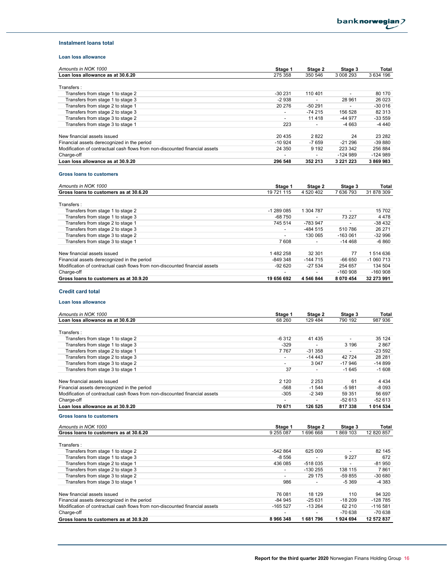#### **Instalment loans total**

## **Loan loss allowance**

| Amounts in NOK 1000                                                         | Stage 1                  | Stage 2   | Stage 3        | Total      |
|-----------------------------------------------------------------------------|--------------------------|-----------|----------------|------------|
| Loan loss allowance as at 30.6.20                                           | 275 358                  | 350 546   | 3 008 293      | 3 634 196  |
|                                                                             |                          |           |                |            |
| Transfers:                                                                  |                          |           |                |            |
| Transfers from stage 1 to stage 2                                           | $-30231$                 | 110 401   | $\overline{a}$ | 80 170     |
| Transfers from stage 1 to stage 3                                           | $-2938$                  |           | 28 961         | 26 0 23    |
| Transfers from stage 2 to stage 1                                           | 20 276                   | $-50291$  |                | $-300016$  |
| Transfers from stage 2 to stage 3                                           | $\overline{\phantom{a}}$ | $-74215$  | 156 528        | 82 313     |
| Transfers from stage 3 to stage 2                                           |                          | 11418     | $-44977$       | $-33559$   |
| Transfers from stage 3 to stage 1                                           | 223                      |           | $-4663$        | $-4440$    |
|                                                                             |                          |           |                |            |
| New financial assets issued                                                 | 20 4 35                  | 2822      | 24             | 23 28 2    |
| Financial assets derecognized in the period                                 | $-10924$                 | $-7659$   | $-21296$       | $-39880$   |
| Modification of contractual cash flows from non-discounted financial assets | 24 350                   | 9 1 9 2   | 223 342        | 256 884    |
| Charge-off                                                                  |                          |           | $-124989$      | $-124989$  |
| Loan loss allowance as at 30.9.20                                           | 296 548                  | 352 213   | 3 2 2 1 2 2 3  | 3869983    |
| <b>Gross loans to customers</b>                                             |                          |           |                |            |
|                                                                             |                          |           |                |            |
| Amounts in NOK 1000                                                         | Stage 1                  | Stage 2   | Stage 3        | Total      |
| Gross loans to customers as at 30.6.20                                      | 19 721 115               | 4 520 402 | 7 636 793      | 31 878 309 |
| Transfers:                                                                  |                          |           |                |            |
| Transfers from stage 1 to stage 2                                           | $-1289085$               | 1 304 787 |                | 15 702     |
| Transfers from stage 1 to stage 3                                           | $-68750$                 |           | 73 227         | 4478       |
| Transfers from stage 2 to stage 1                                           | 745 514                  | -783 947  |                | $-38432$   |
| Transfers from stage 2 to stage 3                                           |                          | -484 515  | 510 786        | 26 271     |
| Transfers from stage 3 to stage 2                                           | $\overline{\phantom{a}}$ | 130 065   | $-163061$      | $-32996$   |
|                                                                             |                          |           |                |            |

| Transfers from stage 3 to stage 1                                           | 7608       | $\overline{\phantom{a}}$ | $-14468$      | -6 860     |
|-----------------------------------------------------------------------------|------------|--------------------------|---------------|------------|
|                                                                             |            |                          |               |            |
| New financial assets issued                                                 | 1482258    | 32 301                   | 77            | 1 514 636  |
| Financial assets derecognized in the period                                 | -849 348   | $-144715$                | $-66650$      | $-1060713$ |
| Modification of contractual cash flows from non-discounted financial assets | $-92620$   | -27 534                  | 254 657       | 134 504    |
| Charge-off                                                                  |            |                          | $-160908$     | $-160908$  |
| Gross loans to customers as at 30.9.20                                      | 19 656 692 | 4 546 844                | 8 0 7 0 4 5 4 | 32 273 991 |

#### **Credit card total**

#### **Loan loss allowance**

| Amounts in NOK 1000                                                         | Stage 1                  | Stage 2   | Stage 3                  | Total      |
|-----------------------------------------------------------------------------|--------------------------|-----------|--------------------------|------------|
| Loan loss allowance as at 30.6.20                                           | 68 260                   | 129 484   | 790 192                  | 987 936    |
| Transfers:                                                                  |                          |           |                          |            |
| Transfers from stage 1 to stage 2                                           | $-6312$                  | 41 4 35   |                          | 35 124     |
| Transfers from stage 1 to stage 3                                           | $-329$                   |           | 3 1 9 6                  | 2867       |
| Transfers from stage 2 to stage 1                                           | 7767                     | $-31358$  | $\overline{\phantom{0}}$ | $-23592$   |
| Transfers from stage 2 to stage 3                                           |                          | $-14443$  | 42724                    | 28 28 1    |
| Transfers from stage 3 to stage 2                                           | $\overline{\phantom{a}}$ | 3 0 4 7   | $-17946$                 | $-14899$   |
| Transfers from stage 3 to stage 1                                           | 37                       |           | $-1645$                  | $-1608$    |
| New financial assets issued                                                 | 2 1 2 0                  | 2 2 5 3   | 61                       | 4 4 3 4    |
| Financial assets derecognized in the period                                 | $-568$                   | $-1544$   | $-5981$                  | $-8093$    |
| Modification of contractual cash flows from non-discounted financial assets | $-305$                   | $-2349$   | 59 351                   | 56 697     |
| Charge-off                                                                  |                          |           | $-52613$                 | $-52613$   |
| Loan loss allowance as at 30.9.20                                           | 70 671                   | 126 525   | 817338                   | 1 014 534  |
| <b>Gross loans to customers</b>                                             |                          |           |                          |            |
| Amounts in NOK 1000                                                         | Stage 1                  | Stage 2   | Stage 3                  | Total      |
| Gross loans to customers as at 30.6.20                                      | 9 255 087                | 1696668   | 1869 103                 | 12 820 857 |
| Transfers:                                                                  |                          |           |                          |            |
| Transfers from stage 1 to stage 2                                           | $-542864$                | 625 009   |                          | 82 145     |
| Transfers from stage 1 to stage 3                                           | $-8556$                  |           | 9 2 2 7                  | 672        |
| Transfers from stage 2 to stage 1                                           | 436 085                  | -518 035  |                          | $-81950$   |
| Transfers from stage 2 to stage 3                                           |                          | $-130255$ | 138 115                  | 7861       |
| Transfers from stage 3 to stage 2                                           | $\overline{\phantom{a}}$ | 29 175    | -59 855                  | $-30680$   |
| Transfers from stage 3 to stage 1                                           | 986                      |           | $-5369$                  | $-4383$    |
| New financial assets issued                                                 | 76 081                   | 18 129    | 110                      | 94 320     |
| Financial assets derecognized in the period                                 | $-84945$                 | $-25631$  | $-18209$                 | $-128785$  |
| Modification of contractual cash flows from non-discounted financial assets | $-165527$                | $-13264$  | 62 210                   | $-116581$  |

Charge-off - - -70 638 -70 638 **Gross loans to customers as at 30.9.20 8 966 348 8 966 348 1 681 796 1 924 694 12 572 837**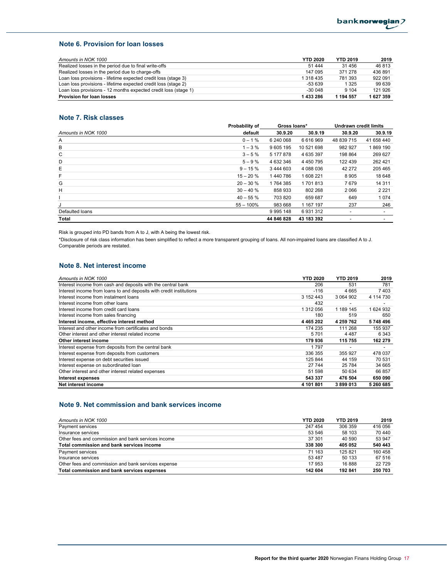### **Note 6. Provision for loan losses**

| Amounts in NOK 1000                                             | <b>YTD 2020</b> | <b>YTD 2019</b> | 2019    |
|-----------------------------------------------------------------|-----------------|-----------------|---------|
| Realized losses in the period due to final write-offs           | 51 444          | 31 456          | 46813   |
| Realized losses in the period due to charge-offs                | 147 095         | 371 278         | 436891  |
| Loan loss provisions - lifetime expected credit loss (stage 3)  | 1 318 435       | 781 393         | 922 091 |
| Loan loss provisions - lifetime expected credit loss (stage 2)  | -53 639         | 1 3 2 5         | 99 639  |
| Loan loss provisions - 12 months expected credit loss (stage 1) | $-300048$       | 9 1 0 4         | 121 926 |
| <b>Provision for loan losses</b>                                | 1 433 286       | 1 194 557       | 627 359 |

#### **Note 7. Risk classes**

|                     | Probability of | Gross loans*  |               | <b>Undrawn credit limits</b> |            |
|---------------------|----------------|---------------|---------------|------------------------------|------------|
| Amounts in NOK 1000 | default        | 30.9.20       | 30.9.19       | 30.9.20                      | 30.9.19    |
| Α                   | $0 - 1%$       | 6 240 068     | 6616969       | 48 839 715                   | 41 658 440 |
| В                   | $1 - 3 \%$     | 9 605 195     | 10 521 698    | 982 927                      | 1869 190   |
| C                   | $3 - 5%$       | 5 177 878     | 4 635 397     | 198 864                      | 269 627    |
| D                   | $5 - 9%$       | 4 632 346     | 4 4 5 0 7 9 5 | 122 439                      | 262 421    |
| Е                   | $9 - 15%$      | 3 444 603     | 4 088 036     | 42 272                       | 205 465    |
| F                   | $15 - 20%$     | 1440786       | 1608221       | 8905                         | 18 648     |
| G                   | $20 - 30%$     | 1764385       | 1701813       | 7679                         | 14 3 11    |
| н                   | $30 - 40%$     | 858 933       | 802 268       | 2066                         | 2 2 2 1    |
|                     | $40 - 55%$     | 703 820       | 659 687       | 649                          | 1074       |
| J                   | $55 - 100%$    | 983 668       | 1 167 197     | 237                          | 246        |
| Defaulted loans     |                | 9 9 9 5 1 4 8 | 6931312       |                              |            |
| Total               |                | 44 846 828    | 43 183 392    |                              |            |

Risk is grouped into PD bands from A to J, with A being the lowest risk.

\*Disclosure of risk class information has been simplified to reflect a more transparent grouping of loans. All non-impaired loans are classified A to J. Comparable periods are restated.

### **Note 8. Net interest income**

| Amounts in NOK 1000                                                 | <b>YTD 2020</b> | <b>YTD 2019</b> | 2019      |
|---------------------------------------------------------------------|-----------------|-----------------|-----------|
| Interest income from cash and deposits with the central bank        | 206             | 531             | 781       |
| Interest income from loans to and deposits with credit institutions | $-116$          | 4665            | 7403      |
| Interest income from instalment loans                               | 3 152 443       | 3 064 902       | 4 114 730 |
| Interest income from other loans                                    | 432             |                 |           |
| Interest income from credit card loans                              | 1 312 056       | 1 189 145       | 1624932   |
| Interest income from sales financing                                | 180             | 519             | 650       |
| Interest income, effective interest method                          | 4 4 6 5 2 0 2   | 4 259 762       | 5748496   |
| Interest and other income from certificates and bonds               | 174 235         | 111 268         | 155 937   |
| Other interest and other interest related income                    | 5701            | 4 4 8 7         | 6 3 4 3   |
| Other interest income                                               | 179 936         | 115 755         | 162 279   |
| Interest expense from deposits from the central bank                | 1797            |                 |           |
| Interest expense from deposits from customers                       | 336 355         | 355 927         | 478 037   |
| Interest expense on debt securities issued                          | 125 844         | 44 159          | 70 531    |
| Interest expense on subordinated loan                               | 27 744          | 25 784          | 34 665    |
| Other interest and other interest related expenses                  | 51 598          | 50 634          | 66 857    |
| <b>Interest expenses</b>                                            | 543 337         | 476 504         | 650 090   |
| Net interest income                                                 | 4 101 801       | 3899013         | 5 260 685 |

### **Note 9. Net commission and bank services income**

| Amounts in NOK 1000                                 | <b>YTD 2020</b> | <b>YTD 2019</b> | 2019    |
|-----------------------------------------------------|-----------------|-----------------|---------|
| Payment services                                    | 247 454         | 306 359         | 416 056 |
| Insurance services                                  | 53 546          | 58 103          | 70 440  |
| Other fees and commission and bank services income  | 37 301          | 40 590          | 53 947  |
| Total commission and bank services income           | 338 300         | 405 052         | 540 443 |
| Payment services                                    | 71 163          | 125 821         | 160 458 |
| Insurance services                                  | 53 487          | 50 133          | 67 516  |
| Other fees and commission and bank services expense | 17 953          | 16888           | 22729   |
| Total commission and bank services expenses         | 142 604         | 192 841         | 250 703 |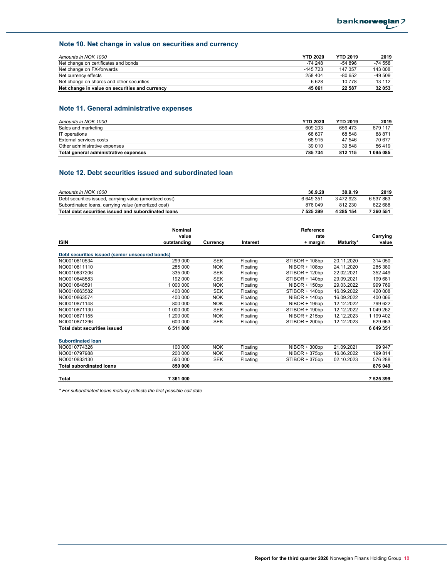## **Note 10. Net change in value on securities and currency**

| Amounts in NOK 1000                            | <b>YTD 2020</b> | <b>YTD 2019</b> | 2019      |
|------------------------------------------------|-----------------|-----------------|-----------|
| Net change on certificates and bonds           | -74 248         | $-54896$        | $-74.558$ |
| Net change on FX-forwards                      | $-145723$       | 147 357         | 143 008   |
| Net currency effects                           | 258 404         | $-80652$        | -49 509   |
| Net change on shares and other securities      | 6628            | 10 778          | 13 112    |
| Net change in value on securities and currency | 45 061          | 22 587          | 32 053    |

# **Note 11. General administrative expenses**

| Amounts in NOK 1000                   | <b>YTD 2020</b> | <b>YTD 2019</b> | 2019    |
|---------------------------------------|-----------------|-----------------|---------|
| Sales and marketing                   | 609 203         | 656 473         | 879 117 |
| IT operations                         | 68 607          | 68 548          | 88 871  |
| External services costs               | 68 915          | 47 546          | 70 677  |
| Other administrative expenses         | 39 010          | 39 548          | 56419   |
| Total general administrative expenses | 785 734         | 812 115         | 1095085 |

## **Note 12. Debt securities issued and subordinated loan**

| Amounts in NOK 1000                                     | 30.9.20   | 30.9.19   | 2019      |
|---------------------------------------------------------|-----------|-----------|-----------|
| Debt securities issued, carrying value (amortized cost) | 6649351   | 3472923   | 6 537 863 |
| Subordinated loans, carrying value (amortized cost)     | 876 049   | 812 230   | 822 688   |
| Total debt securities issued and subordinated loans     | 7 525 399 | 4 285 154 | 7 360 551 |

|                                                 | Nominal     |            |          | Reference       |            |           |
|-------------------------------------------------|-------------|------------|----------|-----------------|------------|-----------|
|                                                 | value       |            |          | rate            |            | Carrying  |
| <b>ISIN</b>                                     | outstanding | Currency   | Interest | + margin        | Maturity*  | value     |
| Debt securities issued (senior unsecured bonds) |             |            |          |                 |            |           |
| NO0010810534                                    | 299 000     | <b>SEK</b> | Floating | STIBOR + 108bp  | 20.11.2020 | 314 050   |
| NO0010811110                                    | 285 000     | <b>NOK</b> | Floating | $NIBOR + 108bp$ | 24.11.2020 | 285 380   |
| NO0010837206                                    | 335 000     | <b>SEK</b> | Floating | STIBOR + 120bp  | 22.02.2021 | 352 449   |
| NO0010848583                                    | 192 000     | <b>SEK</b> | Floating | STIBOR + 140bp  | 29.09.2021 | 199 681   |
| NO0010848591                                    | 1 000 000   | <b>NOK</b> | Floating | $NIBOR + 150bp$ | 29.03.2022 | 999 769   |
| NO0010863582                                    | 400 000     | <b>SEK</b> | Floating | STIBOR + 140bp  | 16.09.2022 | 420 008   |
| NO0010863574                                    | 400 000     | <b>NOK</b> | Floating | $NIBOR + 140bp$ | 16.09.2022 | 400 066   |
| NO0010871148                                    | 800 000     | <b>NOK</b> | Floating | NIBOR + 195bp   | 12.12.2022 | 799 622   |
| NO0010871130                                    | 1 000 000   | <b>SEK</b> | Floating | STIBOR + 190bp  | 12.12.2022 | 1 049 262 |
| NO0010871155                                    | 1 200 000   | <b>NOK</b> | Floating | $NIBOR + 215bp$ | 12.12.2023 | 1 199 402 |
| NO0010871296                                    | 600 000     | <b>SEK</b> | Floating | STIBOR + 200bp  | 12.12.2023 | 629 663   |
| <b>Total debt securities issued</b>             | 6 511 000   |            |          |                 |            | 6 649 351 |
| <b>Subordinated loan</b>                        |             |            |          |                 |            |           |
| NO0010774326                                    | 100 000     | <b>NOK</b> | Floating | $NIBOR + 300bp$ | 21.09.2021 | 99 947    |
| NO0010797988                                    | 200 000     | <b>NOK</b> | Floating | NIBOR + 375bp   | 16.06.2022 | 199 814   |
| NO0010833130                                    | 550 000     | <b>SEK</b> | Floating | STIBOR + 375bp  | 02.10.2023 | 576 288   |
| <b>Total subordinated loans</b>                 | 850 000     |            |          |                 |            | 876 049   |
| Total                                           | 7 361 000   |            |          |                 |            | 7 525 399 |

*\* For subordinated loans maturity reflects the first possible call date*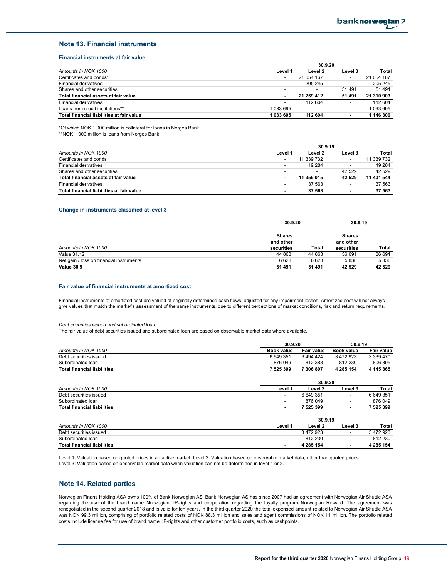#### **Note 13. Financial instruments**

#### **Financial instruments at fair value**

|                                           | 30.9.20                  |            |                          |            |
|-------------------------------------------|--------------------------|------------|--------------------------|------------|
| Amounts in NOK 1000                       | Level 1                  | Level 2    | Level 3                  | Total      |
| Certificates and bonds*                   | $\overline{\phantom{a}}$ | 21 054 167 | $\overline{\phantom{0}}$ | 21 054 167 |
| <b>Financial derivatives</b>              |                          | 205 245    | $\overline{\phantom{a}}$ | 205 245    |
| Shares and other securities               |                          |            | 51491                    | 51 491     |
| Total financial assets at fair value      |                          | 21 259 412 | 51 491                   | 21 310 903 |
| <b>Financial derivatives</b>              | $\overline{\phantom{a}}$ | 112 604    | $\overline{\phantom{0}}$ | 112 604    |
| Loans from credit institutions**          | 1 033 695                |            | $\overline{\phantom{0}}$ | 1 033 695  |
| Total financial liabilities at fair value | 1033695                  | 112 604    | ۰                        | 1 146 300  |

\*Of which NOK 1 000 million is collateral for loans in Norges Bank

\*\*NOK 1 000 million is loans from Norges Bank

|                                           | 30.9.19                  |                          |         |            |  |
|-------------------------------------------|--------------------------|--------------------------|---------|------------|--|
| Amounts in NOK 1000                       | Level 1                  | Level 2                  | Level 3 | Total      |  |
| Certificates and bonds                    | $\overline{\phantom{a}}$ | 11 339 732               |         | 11 339 732 |  |
| <b>Financial derivatives</b>              |                          | 19 2 84                  |         | 19 2 84    |  |
| Shares and other securities               | $\overline{\phantom{a}}$ | $\overline{\phantom{a}}$ | 42 529  | 42 529     |  |
| Total financial assets at fair value      | $\overline{\phantom{a}}$ | 11 359 015               | 42 529  | 11 401 544 |  |
| <b>Financial derivatives</b>              |                          | 37 563                   |         | 37 563     |  |
| Total financial liabilities at fair value | $\blacksquare$           | 37 563                   |         | 37 563     |  |

#### **Change in instruments classified at level 3**

|                                          |                                          | 30.9.20 |                                          | 30.9.19 |
|------------------------------------------|------------------------------------------|---------|------------------------------------------|---------|
| Amounts in NOK 1000                      | <b>Shares</b><br>and other<br>securities | Total   | <b>Shares</b><br>and other<br>securities | Total   |
| <b>Value 31.12</b>                       | 44 863                                   | 44 863  | 36 691                                   | 36 691  |
| Net gain / loss on financial instruments | 6628                                     | 6628    | 5838                                     | 5838    |
| <b>Value 30.9</b>                        | 51 491                                   | 51 491  | 42 529                                   | 42 5 29 |

#### **Fair value of financial instruments at amortized cost**

Financial instruments at amortized cost are valued at originally determined cash flows, adjusted for any impairment losses. Amortized cost will not always give values that match the market's assessment of the same instruments, due to different perceptions of market conditions, risk and return requirements.

#### *Debt securities issued and subordinated loan*

The fair value of debt securities issued and subordinated loan are based on observable market data where available.

|                                    | 30.9.20                  |                   | 30.9.19                  |                   |
|------------------------------------|--------------------------|-------------------|--------------------------|-------------------|
| Amounts in NOK 1000                | <b>Book value</b>        | <b>Fair value</b> | <b>Book value</b>        | <b>Fair value</b> |
| Debt securities issued             | 6 649 351                | 6494424           | 3 472 923                | 3 339 470         |
| Subordinated loan                  | 876 049                  | 812 383           | 812 230                  | 806 395           |
| <b>Total financial liabilities</b> | 7 525 399                | 7 306 807         | 4 285 154                | 4 145 865         |
|                                    |                          | 30.9.20           |                          |                   |
| Amounts in NOK 1000                | Level 1                  | Level 2           | Level 3                  | <b>Total</b>      |
| Debt securities issued             | $\overline{\phantom{0}}$ | 6649351           | $\overline{\phantom{0}}$ | 6 649 351         |
| Subordinated loan                  | $\overline{\phantom{a}}$ | 876 049           | $\overline{\phantom{0}}$ | 876 049           |
| <b>Total financial liabilities</b> | ٠                        | 7 525 399         | ٠                        | 7 525 399         |
|                                    |                          | <b>20.010</b>     |                          |                   |

| Amounts in NOK 1000                | Level | Level 2   | Level 3 | Total     |
|------------------------------------|-------|-----------|---------|-----------|
| Debt securities issued             |       | 3472923   |         | 3472923   |
| Subordinated loan                  |       | 812 230   |         | 812 230   |
| <b>Total financial liabilities</b> |       | 4 285 154 |         | 4 285 154 |

Level 1: Valuation based on quoted prices in an active market. Level 2: Valuation based on observable market data, other than quoted prices. Level 3: Valuation based on observable market data when valuation can not be determined in level 1 or 2.

#### **Note 14. Related parties**

Norwegian Finans Holding ASA owns 100% of Bank Norwegian AS. Bank Norwegian AS has since 2007 had an agreement with Norwegian Air Shuttle ASA regarding the use of the brand name Norwegian, IP-rights and cooperation regarding the loyalty program Norwegian Reward. The agreement was renegotiated in the second quarter 2018 and is valid for ten years. In the third quarter 2020 the total expensed amount related to Norwegian Air Shuttle ASA was NOK 99.3 million, comprising of portfolio related costs of NOK 88.3 million and sales and agent commissions of NOK 11 million. The portfolio related costs include license fee for use of brand name, IP-rights and other customer portfolio costs, such as cashpoints.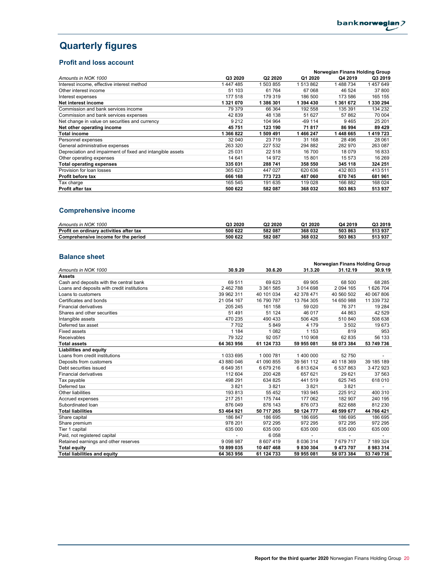# **Quarterly figures**

## **Profit and loss account**

|                                                            |         |                     | Norwegian Finans Holding Group |           |           |  |
|------------------------------------------------------------|---------|---------------------|--------------------------------|-----------|-----------|--|
| Amounts in NOK 1000                                        | Q3 2020 | Q <sub>2</sub> 2020 | Q1 2020                        | Q4 2019   | Q3 2019   |  |
| Interest income, effective interest method                 | 1447485 | 503 855             | 1 513 862                      | 488 734   | 1457649   |  |
| Other interest income                                      | 51 103  | 61764               | 67 068                         | 46 524    | 37 800    |  |
| Interest expenses                                          | 177 518 | 179 319             | 186 500                        | 173 586   | 165 155   |  |
| Net interest income                                        | 1321070 | 1 386 301           | 1 394 430                      | 1 361 672 | 1 330 294 |  |
| Commission and bank services income                        | 79 379  | 66 364              | 192 558                        | 135 391   | 134 232   |  |
| Commission and bank services expenses                      | 42 839  | 48 138              | 51 627                         | 57862     | 70 004    |  |
| Net change in value on securities and currency             | 9 2 1 2 | 104 964             | -69 114                        | 9465      | 25 201    |  |
| Net other operating income                                 | 45751   | 123 190             | 71817                          | 86 994    | 89 429    |  |
| Total income                                               | 1366822 | 509 491             | 466 247                        | 1 448 665 | 1 419 723 |  |
| Personnel expenses                                         | 32 040  | 23 7 19             | 31 168                         | 28 4 9 6  | 28 061    |  |
| General administrative expenses                            | 263 320 | 227 532             | 294 882                        | 282 970   | 263 087   |  |
| Depreciation and impairment of fixed and intangible assets | 25 031  | 22 518              | 16 700                         | 18 079    | 16833     |  |
| Other operating expenses                                   | 14 641  | 14 972              | 15 801                         | 15 573    | 16 269    |  |
| <b>Total operating expenses</b>                            | 335 031 | 288 741             | 358 550                        | 345 118   | 324 251   |  |
| Provision for loan losses                                  | 365 623 | 447 027             | 620 636                        | 432 803   | 413 511   |  |
| Profit before tax                                          | 666 168 | 773 723             | 487 060                        | 670 745   | 681 961   |  |
| Tax charge                                                 | 165 545 | 191 635             | 119 028                        | 166882    | 168 024   |  |
| <b>Profit after tax</b>                                    | 500 622 | 582 087             | 368 032                        | 503 863   | 513 937   |  |

# **Comprehensive income**

| Amounts in NOK 1000                     | Q3 2020 | 2020<br>Q2 | Q1 2020 | Q4 2019 | Q3 2019 |
|-----------------------------------------|---------|------------|---------|---------|---------|
| Profit on ordinary activities after tax | 500 622 | 582 087    | 368 032 | 503 863 | 513 937 |
| Comprehensive income for the period     | 500 622 | 582 087    | 368 032 | 503 863 | 513 937 |

## **Balance sheet**

|                                             |               |            |               | Norwegian Finans Holding Group |            |
|---------------------------------------------|---------------|------------|---------------|--------------------------------|------------|
| Amounts in NOK 1000                         | 30.9.20       | 30.6.20    | 31.3.20       | 31.12.19                       | 30.9.19    |
| <b>Assets</b>                               |               |            |               |                                |            |
| Cash and deposits with the central bank     | 69 511        | 69 623     | 69 905        | 68 500                         | 68 285     |
| Loans and deposits with credit institutions | 2 462 788     | 3 361 585  | 3 014 698     | 2 094 165                      | 1 626 704  |
| Loans to customers                          | 39 962 311    | 40 101 034 | 42 378 471    | 40 560 502                     | 40 067 806 |
| Certificates and bonds                      | 21 054 167    | 16 790 787 | 13 764 305    | 14 650 988                     | 11 339 732 |
| <b>Financial derivatives</b>                | 205 245       | 161 158    | 59 0 20       | 76 371                         | 19 284     |
| Shares and other securities                 | 51 491        | 51 124     | 46 017        | 44 863                         | 42 5 29    |
| Intangible assets                           | 470 235       | 490 433    | 506 426       | 510 840                        | 508 638    |
| Deferred tax asset                          | 7702          | 5849       | 4 179         | 3502                           | 19673      |
| <b>Fixed assets</b>                         | 1 1 8 4       | 1 0 8 2    | 1 1 5 3       | 819                            | 953        |
| Receivables                                 | 79 322        | 92 057     | 110 908       | 62 835                         | 56 133     |
| <b>Total assets</b>                         | 64 363 956    | 61 124 733 | 59 955 081    | 58 073 384                     | 53 749 736 |
| <b>Liabilities and equity</b>               |               |            |               |                                |            |
| Loans from credit institutions              | 1 033 695     | 1 000 781  | 1 400 000     | 52750                          |            |
| Deposits from customers                     | 43 880 046    | 41 090 855 | 39 561 112    | 40 118 369                     | 39 185 189 |
| Debt securities issued                      | 6 649 351     | 6679216    | 6813624       | 6 537 863                      | 3 472 923  |
| <b>Financial derivatives</b>                | 112 604       | 200 428    | 657 621       | 29 6 21                        | 37 563     |
| Tax payable                                 | 498 291       | 634 825    | 441 519       | 625 745                        | 618 010    |
| Deferred tax                                | 3821          | 3821       | 3821          | 3821                           |            |
| Other liabilities                           | 193813        | 55 452     | 193 945       | 225 912                        | 400 310    |
| Accrued expenses                            | 217 251       | 175 744    | 177 062       | 182 907                        | 240 195    |
| Subordinated Ioan                           | 876 049       | 876 143    | 876 073       | 822 688                        | 812 230    |
| <b>Total liabilities</b>                    | 53 464 921    | 50 717 265 | 50 124 777    | 48 599 677                     | 44 766 421 |
| Share capital                               | 186 847       | 186 695    | 186 695       | 186 695                        | 186 695    |
| Share premium                               | 978 201       | 972 295    | 972 295       | 972 295                        | 972 295    |
| Tier 1 capital                              | 635 000       | 635 000    | 635 000       | 635 000                        | 635 000    |
| Paid, not registered capital                |               | 6058       |               |                                |            |
| Retained earnings and other reserves        | 9 0 9 8 9 8 7 | 8 607 419  | 8 0 3 6 3 1 4 | 7679717                        | 7 189 324  |
| <b>Total equity</b>                         | 10 899 035    | 10 407 468 | 9830304       | 9 473 707                      | 8983314    |
| <b>Total liabilities and equity</b>         | 64 363 956    | 61 124 733 | 59 955 081    | 58 073 384                     | 53 749 736 |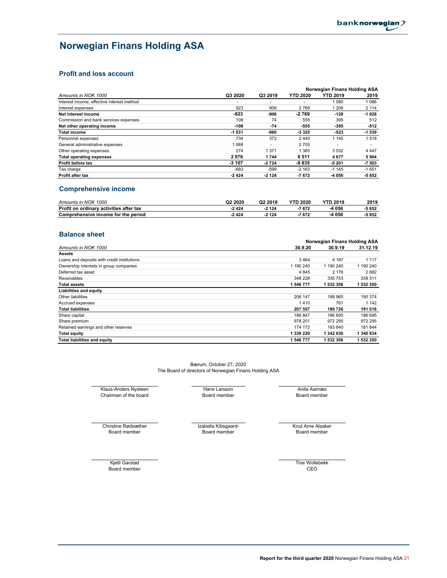# **Norwegian Finans Holding ASA**

## **Profit and loss account**

|                                            |         |                          |                 | Norwegian Finans Holding ASA |                          |
|--------------------------------------------|---------|--------------------------|-----------------|------------------------------|--------------------------|
| Amounts in NOK 1000                        | Q3 2020 | Q3 2019                  | <b>YTD 2020</b> | <b>YTD 2019</b>              | 2019                     |
| Interest income, effective interest method | ۰       | $\overline{\phantom{a}}$ | ٠               | 1 080                        | 1086                     |
| Interest expenses                          | 923     | 906                      | 2769            | 1 208                        | 2 1 1 4                  |
| Net interest income                        | $-923$  | -906                     | $-2769$         | $-128$                       | $-1028$                  |
| Commission and bank services expenses      | 108     | 74                       | 555             | 395                          | 512                      |
| Net other operating income                 | $-108$  | -74                      | -555            | -395                         | $-512$                   |
| <b>Total income</b>                        | $-1031$ | -980                     | -3 3 2 5        | $-523$                       | -1 539                   |
| Personnel expenses                         | 734     | 372                      | 2440            | 1 1 4 5                      | 1518                     |
| General administrative expenses            | 1 0 6 8 | $\overline{\phantom{a}}$ | 2705            | $\overline{\phantom{a}}$     | $\overline{\phantom{a}}$ |
| Other operating expenses                   | 274     | 1 3 7 1                  | 1 365           | 3532                         | 4 4 4 7                  |
| <b>Total operating expenses</b>            | 2076    | 1744                     | 6511            | 4677                         | 5964                     |
| Profit before tax                          | $-3107$ | $-2724$                  | -9835           | $-5201$                      | $-7503$                  |
| Tax charge                                 | $-683$  | $-599$                   | $-2163$         | $-1145$                      | $-1651$                  |
| <b>Profit after tax</b>                    | -2424   | $-2124$                  | $-7672$         | -4 056                       | $-5852$                  |

## **Comprehensive income**

| Amounts in NOK 1000                     | Q2 2020 | Q <sub>2</sub> 2019 | <b>YTD 2020</b> | <b>YTD 2019</b> | 2019 |
|-----------------------------------------|---------|---------------------|-----------------|-----------------|------|
| Profit on ordinary activities after tax | $-2424$ | $-2124$             | -7672           | 056             | 5852 |
| Comprehensive income for the period     | $-2424$ | $-2124$             | $-7672$         | . 056           | 5852 |

### **Balance sheet**

|                                             | Norwegian Finans Holding ASA |           |           |  |
|---------------------------------------------|------------------------------|-----------|-----------|--|
| Amounts in NOK 1000                         | 30.9.20                      | 30.9.19   | 31.12.19  |  |
| <b>Assets</b>                               |                              |           |           |  |
| Loans and deposits with credit institutions | 3464                         | 4 187     | 1 1 1 7   |  |
| Ownership interests in group companies      | 1 190 240                    | 1 190 240 | 1 190 240 |  |
| Deferred tax asset                          | 4 8 4 5                      | 2 1 7 6   | 2682      |  |
| Receivables                                 | 348 228                      | 335 753   | 338 311   |  |
| <b>Total assets</b>                         | 1 546 777                    | 1 532 356 | 1 532 350 |  |
| <b>Liabilities and equity</b>               |                              |           |           |  |
| Other liabilities                           | 206 147                      | 188 965   | 190 374   |  |
| Accrued expenses                            | 1410                         | 761       | 1 142     |  |
| <b>Total liabilities</b>                    | 207 557                      | 189726    | 191 516   |  |
| Share capital                               | 186 847                      | 186 695   | 186 695   |  |
| Share premium                               | 978 201                      | 972 295   | 972 295   |  |
| Retained earnings and other reserves        | 174 172                      | 183 640   | 181 844   |  |
| <b>Total equity</b>                         | 1 339 220                    | 1 342 630 | 1 340 834 |  |
| <b>Total liabilities and equity</b>         | 1 546 777                    | 1 532 356 | 1 532 350 |  |

The Board of directors of Norwegian Finans Holding ASA Bærum, October 27, 2020

Klaus-Anders Nysteen Hans Larsson Anita Aarnæs Chairman of the board Chairman of the board Chairman Chairman Chairman Chairman Chairman Chairman Chairman Chairman Chairman Chairman Chairman Chairman Chairman Chairman Chair Chairman of the board

Christine Rødsæther **Izabella Kibsgaard-** Knut Arne Alsaker<br>Board member **Izabella Kibsgaard-** Knut Arne Alsaker<br>Board member Board member

Board member CEO Kjetil Garstad Tine Wollebekk

**Report for the third quarter 2020** Norwegian Finans Holding ASA 21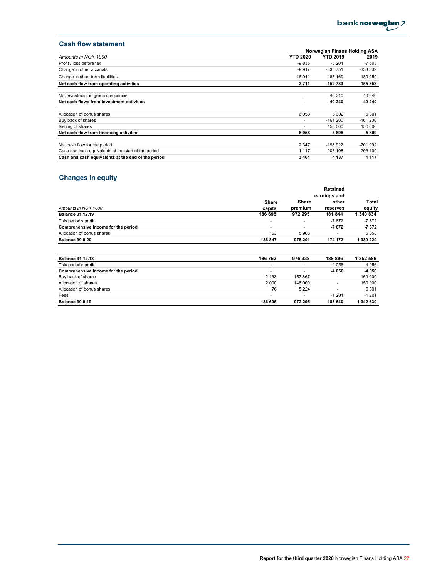## **Cash flow statement**

|                                                      |                 | Norwegian Finans Holding ASA |           |  |  |
|------------------------------------------------------|-----------------|------------------------------|-----------|--|--|
| Amounts in NOK 1000                                  | <b>YTD 2020</b> | <b>YTD 2019</b>              | 2019      |  |  |
| Profit / loss before tax                             | $-9835$         | $-5201$                      | $-7503$   |  |  |
| Change in other accruals                             | $-9917$         | -335 751                     | -338 309  |  |  |
| Change in short-term liabilities                     | 16 041          | 188 169                      | 189 959   |  |  |
| Net cash flow from operating activities              | $-3711$         | -152 783                     | 155 853   |  |  |
| Net investment in group companies                    | ٠               | $-40240$                     | -40 240   |  |  |
| Net cash flows from investment activities            | -               | -40 240                      | -40 240   |  |  |
| Allocation of bonus shares                           | 6058            | 5 3 0 2                      | 5 3 0 1   |  |  |
| Buy back of shares                                   | ۰               | $-161200$                    | $-161200$ |  |  |
| Issuing of shares                                    | ۰               | 150 000                      | 150 000   |  |  |
| Net cash flow from financing activities              | 6058            | $-5898$                      | -5 899    |  |  |
|                                                      |                 |                              |           |  |  |
| Net cash flow for the period                         | 2 3 4 7         | $-198.922$                   | $-201992$ |  |  |
| Cash and cash equivalents at the start of the period | 1 1 1 7         | 203 108                      | 203 109   |  |  |
| Cash and cash equivalents at the end of the period   | 3 4 6 4         | 4 1 8 7                      | 1 1 1 7   |  |  |

# **Changes in equity**

|                                     | Retained<br>earnings and |                          |                   |                 |  |
|-------------------------------------|--------------------------|--------------------------|-------------------|-----------------|--|
| Amounts in NOK 1000                 | Share<br>capital         | Share<br>premium         | other<br>reserves | Total<br>equity |  |
| <b>Balance 31.12.19</b>             | 186 695                  | 972 295                  | 181844            | 1 340 834       |  |
| This period's profit                | $\overline{\phantom{a}}$ | $\overline{\phantom{a}}$ | $-7672$           | $-7672$         |  |
| Comprehensive income for the period |                          |                          | $-7672$           | $-7672$         |  |
| Allocation of bonus shares          | 153                      | 5906                     |                   | 6 0 5 8         |  |
| <b>Balance 30.9.20</b>              | 186 847                  | 978 201                  | 174 172           | 1 339 220       |  |

| <b>Balance 31.12.18</b>             | 186 752                  | 976938                   | 188 896 | 1 352 586 |
|-------------------------------------|--------------------------|--------------------------|---------|-----------|
| This period's profit                | $\overline{\phantom{a}}$ | $\overline{\phantom{a}}$ | -4 056  | $-4056$   |
| Comprehensive income for the period | $\overline{\phantom{a}}$ | $\overline{\phantom{a}}$ | -4 056  | -4 056    |
| Buy back of shares                  | $-2133$                  | $-157867$                |         | $-160000$ |
| Allocation of shares                | 2000                     | 148 000                  |         | 150 000   |
| Allocation of bonus shares          | 76                       | 5 2 2 4                  |         | 5 3 0 1   |
| Fees                                |                          | ۰                        | $-1201$ | $-1201$   |
| <b>Balance 30.9.19</b>              | 186 695                  | 972 295                  | 183 640 | 1 342 630 |